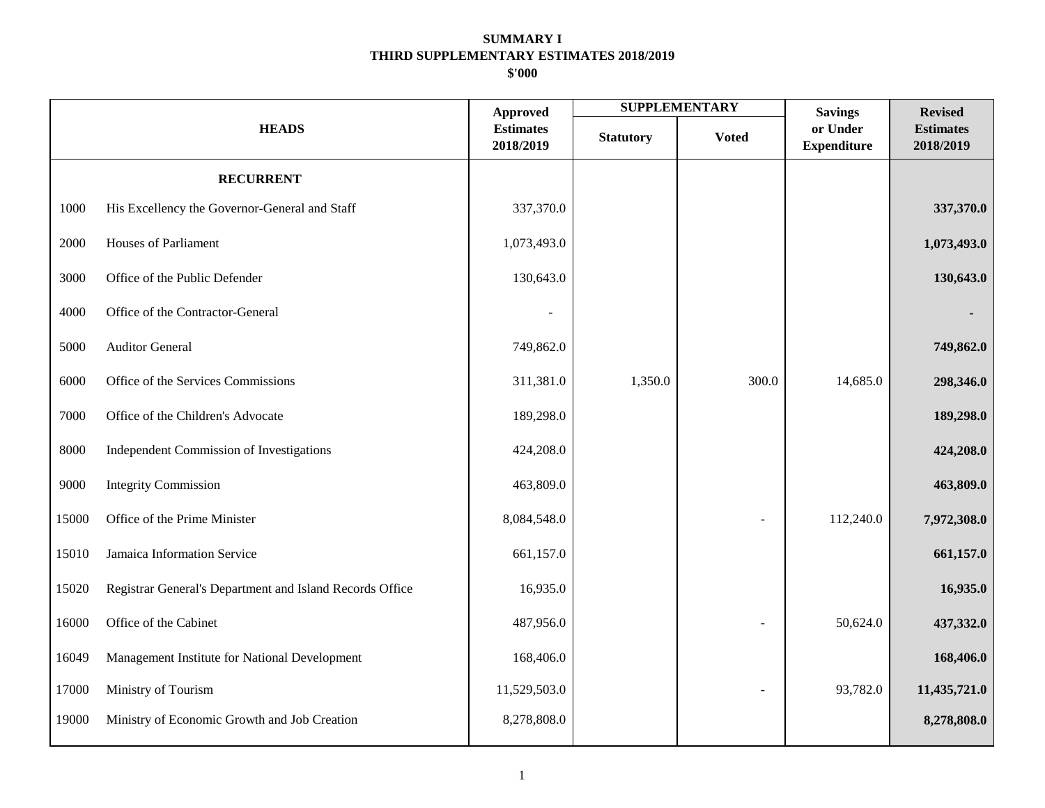|       |                                                          |                                                  |                  | <b>SUPPLEMENTARY</b> | <b>Savings</b>                 | <b>Revised</b>                |
|-------|----------------------------------------------------------|--------------------------------------------------|------------------|----------------------|--------------------------------|-------------------------------|
|       | <b>HEADS</b>                                             | <b>Approved</b><br><b>Estimates</b><br>2018/2019 | <b>Statutory</b> | <b>Voted</b>         | or Under<br><b>Expenditure</b> | <b>Estimates</b><br>2018/2019 |
|       | <b>RECURRENT</b>                                         |                                                  |                  |                      |                                |                               |
| 1000  | His Excellency the Governor-General and Staff            | 337,370.0                                        |                  |                      |                                | 337,370.0                     |
| 2000  | Houses of Parliament                                     | 1,073,493.0                                      |                  |                      |                                | 1,073,493.0                   |
| 3000  | Office of the Public Defender                            | 130,643.0                                        |                  |                      |                                | 130,643.0                     |
| 4000  | Office of the Contractor-General                         |                                                  |                  |                      |                                |                               |
| 5000  | <b>Auditor General</b>                                   | 749,862.0                                        |                  |                      |                                | 749,862.0                     |
| 6000  | Office of the Services Commissions                       | 311,381.0                                        | 1,350.0          | 300.0                | 14,685.0                       | 298,346.0                     |
| 7000  | Office of the Children's Advocate                        | 189,298.0                                        |                  |                      |                                | 189,298.0                     |
| 8000  | Independent Commission of Investigations                 | 424,208.0                                        |                  |                      |                                | 424,208.0                     |
| 9000  | <b>Integrity Commission</b>                              | 463,809.0                                        |                  |                      |                                | 463,809.0                     |
| 15000 | Office of the Prime Minister                             | 8,084,548.0                                      |                  |                      | 112,240.0                      | 7,972,308.0                   |
| 15010 | Jamaica Information Service                              | 661,157.0                                        |                  |                      |                                | 661,157.0                     |
| 15020 | Registrar General's Department and Island Records Office | 16,935.0                                         |                  |                      |                                | 16,935.0                      |
| 16000 | Office of the Cabinet                                    | 487,956.0                                        |                  |                      | 50,624.0                       | 437,332.0                     |
| 16049 | Management Institute for National Development            | 168,406.0                                        |                  |                      |                                | 168,406.0                     |
| 17000 | Ministry of Tourism                                      | 11,529,503.0                                     |                  |                      | 93,782.0                       | 11,435,721.0                  |
| 19000 | Ministry of Economic Growth and Job Creation             | 8,278,808.0                                      |                  |                      |                                | 8,278,808.0                   |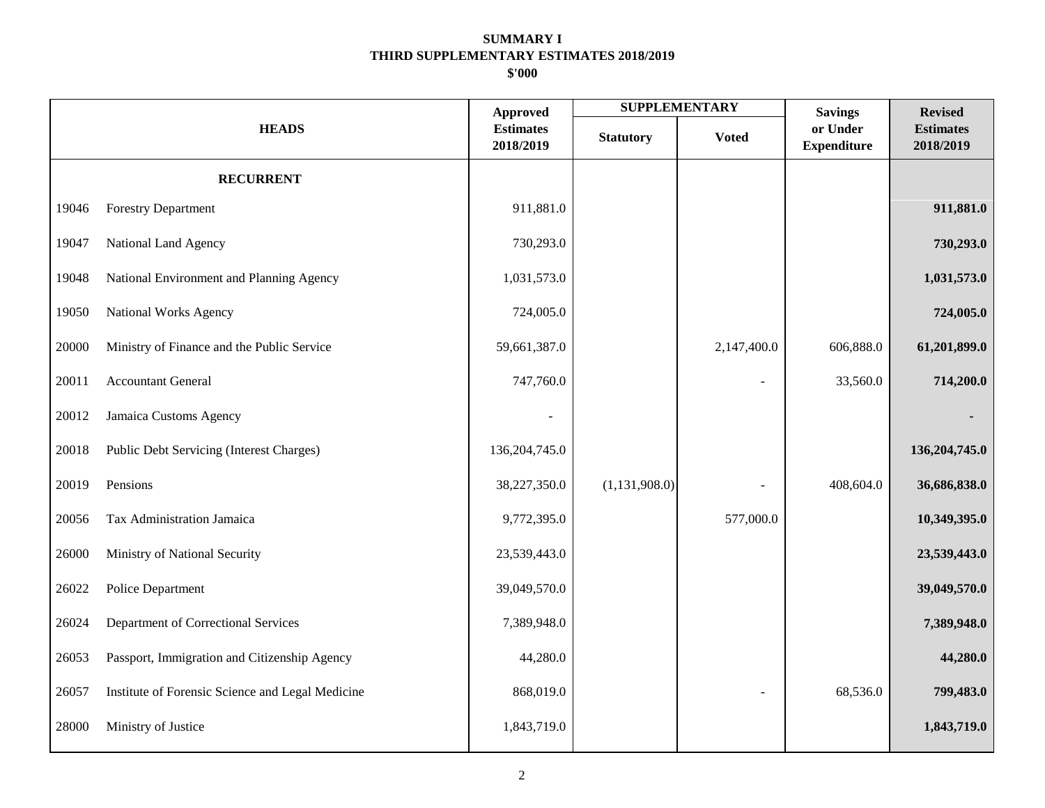|       |                                                  |                                                  |                  | <b>SUPPLEMENTARY</b> | <b>Savings</b>                 | <b>Revised</b>                |
|-------|--------------------------------------------------|--------------------------------------------------|------------------|----------------------|--------------------------------|-------------------------------|
|       | <b>HEADS</b>                                     | <b>Approved</b><br><b>Estimates</b><br>2018/2019 | <b>Statutory</b> | <b>Voted</b>         | or Under<br><b>Expenditure</b> | <b>Estimates</b><br>2018/2019 |
|       | <b>RECURRENT</b>                                 |                                                  |                  |                      |                                |                               |
| 19046 | <b>Forestry Department</b>                       | 911,881.0                                        |                  |                      |                                | 911,881.0                     |
| 19047 | National Land Agency                             | 730,293.0                                        |                  |                      |                                | 730,293.0                     |
| 19048 | National Environment and Planning Agency         | 1,031,573.0                                      |                  |                      |                                | 1,031,573.0                   |
| 19050 | National Works Agency                            | 724,005.0                                        |                  |                      |                                | 724,005.0                     |
| 20000 | Ministry of Finance and the Public Service       | 59,661,387.0                                     |                  | 2,147,400.0          | 606,888.0                      | 61,201,899.0                  |
| 20011 | <b>Accountant General</b>                        | 747,760.0                                        |                  |                      | 33,560.0                       | 714,200.0                     |
| 20012 | Jamaica Customs Agency                           |                                                  |                  |                      |                                |                               |
| 20018 | Public Debt Servicing (Interest Charges)         | 136, 204, 745.0                                  |                  |                      |                                | 136,204,745.0                 |
| 20019 | Pensions                                         | 38,227,350.0                                     | (1,131,908.0)    |                      | 408,604.0                      | 36,686,838.0                  |
| 20056 | Tax Administration Jamaica                       | 9,772,395.0                                      |                  | 577,000.0            |                                | 10,349,395.0                  |
| 26000 | Ministry of National Security                    | 23,539,443.0                                     |                  |                      |                                | 23,539,443.0                  |
| 26022 | Police Department                                | 39,049,570.0                                     |                  |                      |                                | 39,049,570.0                  |
| 26024 | Department of Correctional Services              | 7,389,948.0                                      |                  |                      |                                | 7,389,948.0                   |
| 26053 | Passport, Immigration and Citizenship Agency     | 44,280.0                                         |                  |                      |                                | 44,280.0                      |
| 26057 | Institute of Forensic Science and Legal Medicine | 868,019.0                                        |                  |                      | 68,536.0                       | 799,483.0                     |
| 28000 | Ministry of Justice                              | 1,843,719.0                                      |                  |                      |                                | 1,843,719.0                   |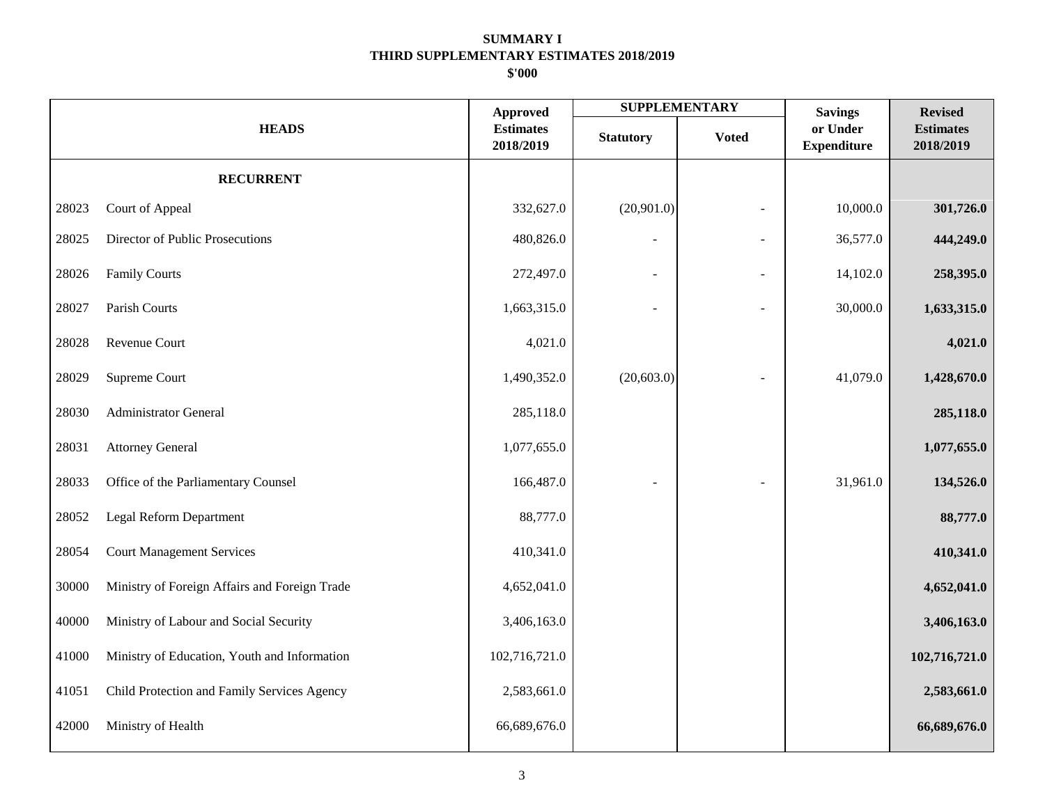|       |                                               |                                                  |                  | <b>SUPPLEMENTARY</b> | <b>Savings</b>                 | <b>Revised</b>                |
|-------|-----------------------------------------------|--------------------------------------------------|------------------|----------------------|--------------------------------|-------------------------------|
|       | <b>HEADS</b>                                  | <b>Approved</b><br><b>Estimates</b><br>2018/2019 | <b>Statutory</b> | <b>Voted</b>         | or Under<br><b>Expenditure</b> | <b>Estimates</b><br>2018/2019 |
|       | <b>RECURRENT</b>                              |                                                  |                  |                      |                                |                               |
| 28023 | Court of Appeal                               | 332,627.0                                        | (20,901.0)       | ÷                    | 10,000.0                       | 301,726.0                     |
| 28025 | Director of Public Prosecutions               | 480,826.0                                        |                  | ÷                    | 36,577.0                       | 444,249.0                     |
| 28026 | <b>Family Courts</b>                          | 272,497.0                                        |                  |                      | 14,102.0                       | 258,395.0                     |
| 28027 | Parish Courts                                 | 1,663,315.0                                      |                  |                      | 30,000.0                       | 1,633,315.0                   |
| 28028 | Revenue Court                                 | 4,021.0                                          |                  |                      |                                | 4,021.0                       |
| 28029 | Supreme Court                                 | 1,490,352.0                                      | (20, 603.0)      |                      | 41,079.0                       | 1,428,670.0                   |
| 28030 | <b>Administrator General</b>                  | 285,118.0                                        |                  |                      |                                | 285,118.0                     |
| 28031 | <b>Attorney General</b>                       | 1,077,655.0                                      |                  |                      |                                | 1,077,655.0                   |
| 28033 | Office of the Parliamentary Counsel           | 166,487.0                                        |                  |                      | 31,961.0                       | 134,526.0                     |
| 28052 | Legal Reform Department                       | 88,777.0                                         |                  |                      |                                | 88,777.0                      |
| 28054 | <b>Court Management Services</b>              | 410,341.0                                        |                  |                      |                                | 410,341.0                     |
| 30000 | Ministry of Foreign Affairs and Foreign Trade | 4,652,041.0                                      |                  |                      |                                | 4,652,041.0                   |
| 40000 | Ministry of Labour and Social Security        | 3,406,163.0                                      |                  |                      |                                | 3,406,163.0                   |
| 41000 | Ministry of Education, Youth and Information  | 102,716,721.0                                    |                  |                      |                                | 102,716,721.0                 |
| 41051 | Child Protection and Family Services Agency   | 2,583,661.0                                      |                  |                      |                                | 2,583,661.0                   |
| 42000 | Ministry of Health                            | 66,689,676.0                                     |                  |                      |                                | 66,689,676.0                  |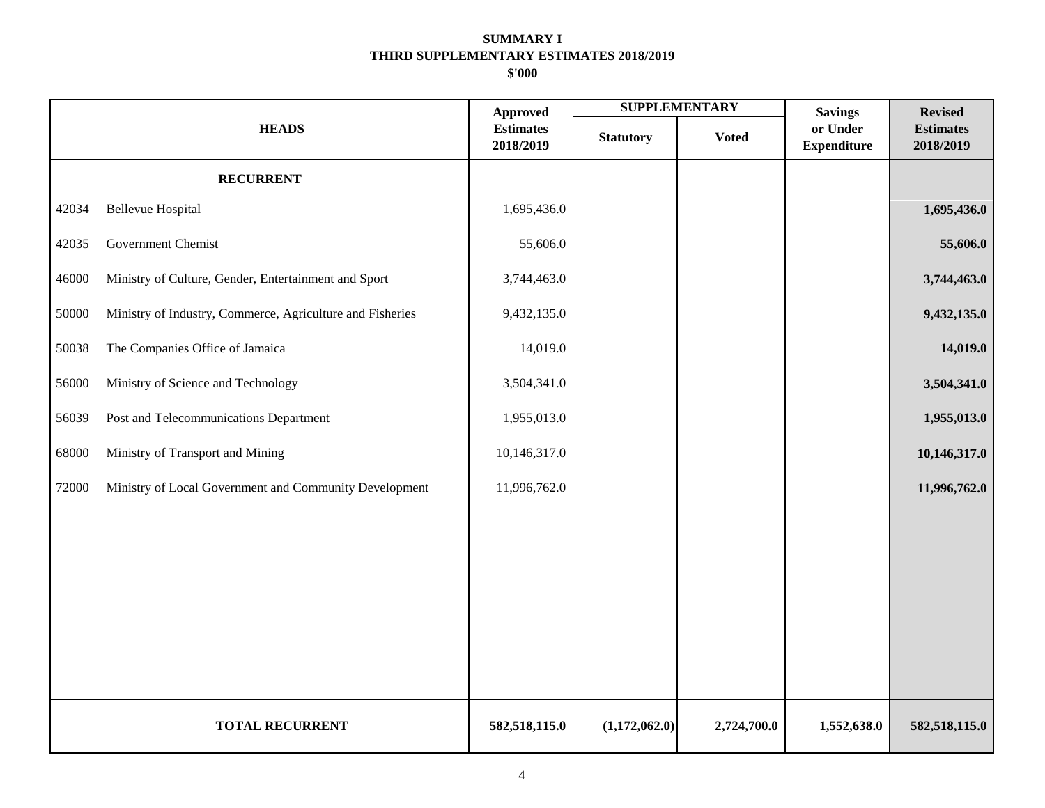|       |                                                           |                                                  |                  | <b>SUPPLEMENTARY</b> | <b>Savings</b>                 | <b>Revised</b>                |
|-------|-----------------------------------------------------------|--------------------------------------------------|------------------|----------------------|--------------------------------|-------------------------------|
|       | <b>HEADS</b>                                              | <b>Approved</b><br><b>Estimates</b><br>2018/2019 | <b>Statutory</b> | <b>Voted</b>         | or Under<br><b>Expenditure</b> | <b>Estimates</b><br>2018/2019 |
|       | <b>RECURRENT</b>                                          |                                                  |                  |                      |                                |                               |
| 42034 | <b>Bellevue Hospital</b>                                  | 1,695,436.0                                      |                  |                      |                                | 1,695,436.0                   |
| 42035 | Government Chemist                                        | 55,606.0                                         |                  |                      |                                | 55,606.0                      |
| 46000 | Ministry of Culture, Gender, Entertainment and Sport      | 3,744,463.0                                      |                  |                      |                                | 3,744,463.0                   |
| 50000 | Ministry of Industry, Commerce, Agriculture and Fisheries | 9,432,135.0                                      |                  |                      |                                | 9,432,135.0                   |
| 50038 | The Companies Office of Jamaica                           | 14,019.0                                         |                  |                      |                                | 14,019.0                      |
| 56000 | Ministry of Science and Technology                        | 3,504,341.0                                      |                  |                      |                                | 3,504,341.0                   |
| 56039 | Post and Telecommunications Department                    | 1,955,013.0                                      |                  |                      |                                | 1,955,013.0                   |
| 68000 | Ministry of Transport and Mining                          | 10,146,317.0                                     |                  |                      |                                | 10,146,317.0                  |
| 72000 | Ministry of Local Government and Community Development    | 11,996,762.0                                     |                  |                      |                                | 11,996,762.0                  |
|       |                                                           |                                                  |                  |                      |                                |                               |
|       |                                                           |                                                  |                  |                      |                                |                               |
|       |                                                           |                                                  |                  |                      |                                |                               |
|       |                                                           |                                                  |                  |                      |                                |                               |
|       |                                                           |                                                  |                  |                      |                                |                               |
|       |                                                           |                                                  |                  |                      |                                |                               |
|       | <b>TOTAL RECURRENT</b>                                    | 582,518,115.0                                    | (1,172,062.0)    | 2,724,700.0          | 1,552,638.0                    | 582,518,115.0                 |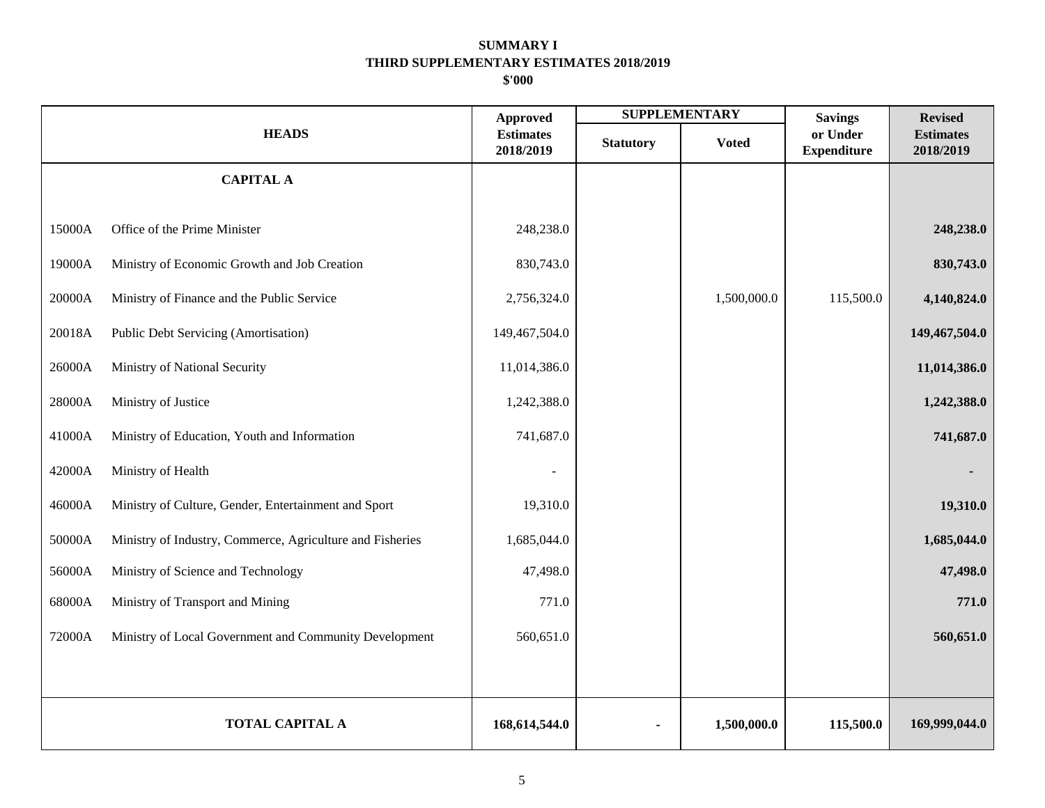|        |                                                           | <b>Approved</b>               |                  | <b>SUPPLEMENTARY</b> | <b>Savings</b>                 | <b>Revised</b>                |
|--------|-----------------------------------------------------------|-------------------------------|------------------|----------------------|--------------------------------|-------------------------------|
|        | <b>HEADS</b>                                              | <b>Estimates</b><br>2018/2019 | <b>Statutory</b> | <b>Voted</b>         | or Under<br><b>Expenditure</b> | <b>Estimates</b><br>2018/2019 |
|        | <b>CAPITAL A</b>                                          |                               |                  |                      |                                |                               |
| 15000A | Office of the Prime Minister                              | 248,238.0                     |                  |                      |                                | 248,238.0                     |
| 19000A | Ministry of Economic Growth and Job Creation              | 830,743.0                     |                  |                      |                                | 830,743.0                     |
| 20000A | Ministry of Finance and the Public Service                | 2,756,324.0                   |                  | 1,500,000.0          | 115,500.0                      | 4,140,824.0                   |
|        |                                                           |                               |                  |                      |                                |                               |
| 20018A | Public Debt Servicing (Amortisation)                      | 149,467,504.0                 |                  |                      |                                | 149,467,504.0                 |
| 26000A | Ministry of National Security                             | 11,014,386.0                  |                  |                      |                                | 11,014,386.0                  |
| 28000A | Ministry of Justice                                       | 1,242,388.0                   |                  |                      |                                | 1,242,388.0                   |
| 41000A | Ministry of Education, Youth and Information              | 741,687.0                     |                  |                      |                                | 741,687.0                     |
| 42000A | Ministry of Health                                        |                               |                  |                      |                                |                               |
| 46000A | Ministry of Culture, Gender, Entertainment and Sport      | 19,310.0                      |                  |                      |                                | 19,310.0                      |
| 50000A | Ministry of Industry, Commerce, Agriculture and Fisheries | 1,685,044.0                   |                  |                      |                                | 1,685,044.0                   |
| 56000A | Ministry of Science and Technology                        | 47,498.0                      |                  |                      |                                | 47,498.0                      |
| 68000A | Ministry of Transport and Mining                          | 771.0                         |                  |                      |                                | 771.0                         |
| 72000A | Ministry of Local Government and Community Development    | 560,651.0                     |                  |                      |                                | 560,651.0                     |
|        |                                                           |                               |                  |                      |                                |                               |
|        |                                                           |                               |                  |                      |                                |                               |
|        | <b>TOTAL CAPITAL A</b>                                    | 168,614,544.0                 |                  | 1,500,000.0          | 115,500.0                      | 169,999,044.0                 |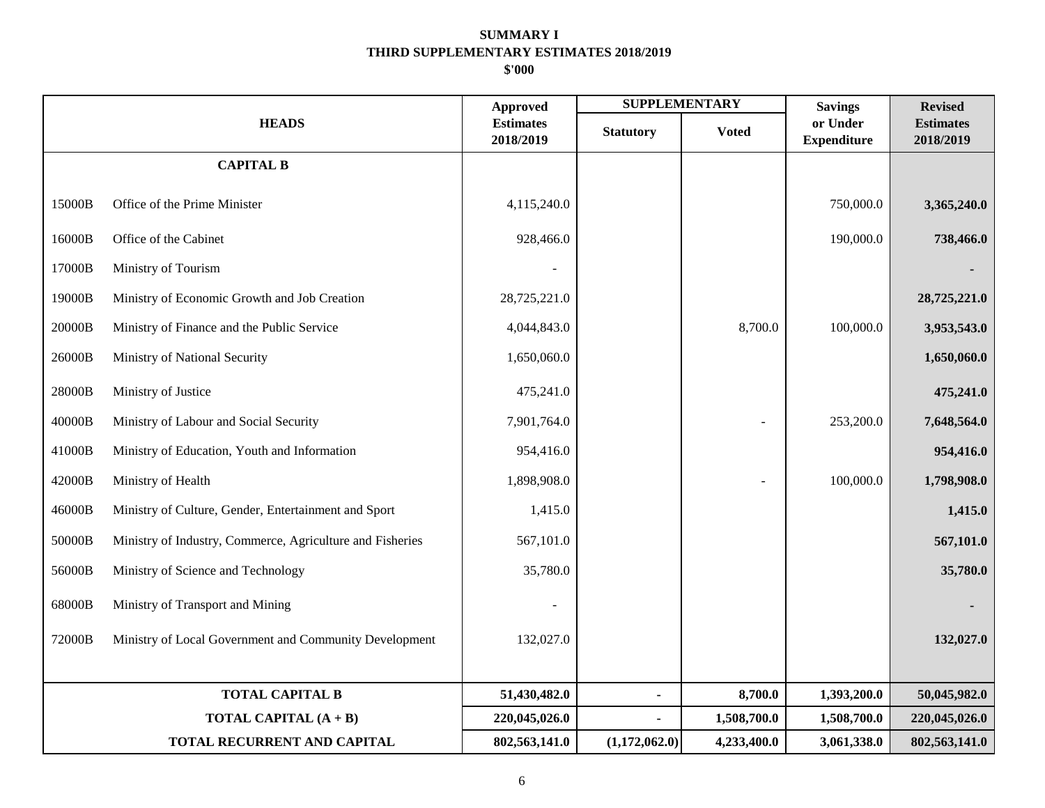|        |                                                           | <b>Approved</b>               |                  | <b>SUPPLEMENTARY</b> | <b>Savings</b>                 | <b>Revised</b>                |
|--------|-----------------------------------------------------------|-------------------------------|------------------|----------------------|--------------------------------|-------------------------------|
|        | <b>HEADS</b>                                              | <b>Estimates</b><br>2018/2019 | <b>Statutory</b> | <b>Voted</b>         | or Under<br><b>Expenditure</b> | <b>Estimates</b><br>2018/2019 |
|        | <b>CAPITAL B</b>                                          |                               |                  |                      |                                |                               |
| 15000B | Office of the Prime Minister                              | 4,115,240.0                   |                  |                      | 750,000.0                      | 3,365,240.0                   |
| 16000B | Office of the Cabinet                                     | 928,466.0                     |                  |                      | 190,000.0                      | 738,466.0                     |
| 17000B | Ministry of Tourism                                       |                               |                  |                      |                                |                               |
| 19000B | Ministry of Economic Growth and Job Creation              | 28,725,221.0                  |                  |                      |                                | 28,725,221.0                  |
| 20000B | Ministry of Finance and the Public Service                | 4,044,843.0                   |                  | 8,700.0              | 100,000.0                      | 3,953,543.0                   |
| 26000B | Ministry of National Security                             | 1,650,060.0                   |                  |                      |                                | 1,650,060.0                   |
| 28000B | Ministry of Justice                                       | 475,241.0                     |                  |                      |                                | 475,241.0                     |
| 40000B | Ministry of Labour and Social Security                    | 7,901,764.0                   |                  |                      | 253,200.0                      | 7,648,564.0                   |
| 41000B | Ministry of Education, Youth and Information              | 954,416.0                     |                  |                      |                                | 954,416.0                     |
| 42000B | Ministry of Health                                        | 1,898,908.0                   |                  |                      | 100,000.0                      | 1,798,908.0                   |
| 46000B | Ministry of Culture, Gender, Entertainment and Sport      | 1,415.0                       |                  |                      |                                | 1,415.0                       |
| 50000B | Ministry of Industry, Commerce, Agriculture and Fisheries | 567,101.0                     |                  |                      |                                | 567,101.0                     |
| 56000B | Ministry of Science and Technology                        | 35,780.0                      |                  |                      |                                | 35,780.0                      |
| 68000B | Ministry of Transport and Mining                          |                               |                  |                      |                                |                               |
| 72000B | Ministry of Local Government and Community Development    | 132,027.0                     |                  |                      |                                | 132,027.0                     |
|        |                                                           |                               |                  |                      |                                |                               |
|        | <b>TOTAL CAPITAL B</b>                                    | 51,430,482.0                  |                  | 8,700.0              | 1,393,200.0                    | 50,045,982.0                  |
|        | TOTAL CAPITAL (A + B)                                     | 220,045,026.0                 |                  | 1,508,700.0          | 1,508,700.0                    | 220,045,026.0                 |
|        | TOTAL RECURRENT AND CAPITAL                               | 802,563,141.0                 | (1,172,062.0)    | 4,233,400.0          | 3,061,338.0                    | 802,563,141.0                 |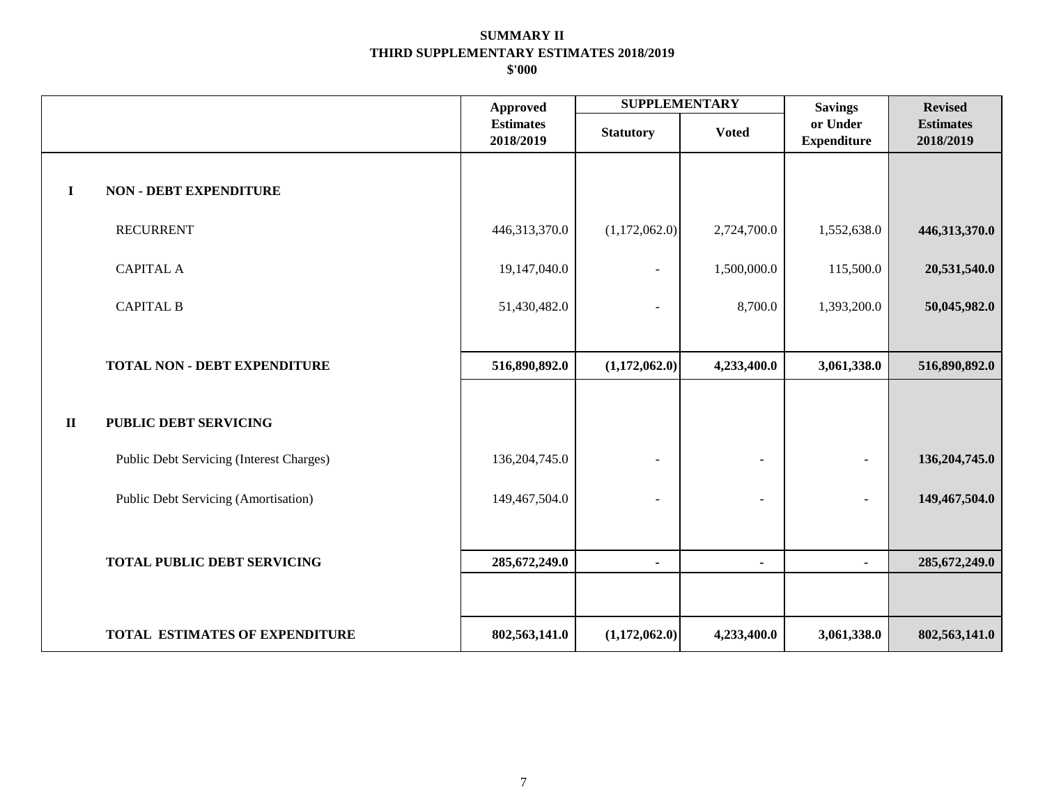|              |                                          | <b>Approved</b>               | <b>SUPPLEMENTARY</b>     |                          | <b>Savings</b>                 | <b>Revised</b>                |
|--------------|------------------------------------------|-------------------------------|--------------------------|--------------------------|--------------------------------|-------------------------------|
|              |                                          | <b>Estimates</b><br>2018/2019 | <b>Statutory</b>         | <b>Voted</b>             | or Under<br><b>Expenditure</b> | <b>Estimates</b><br>2018/2019 |
| $\mathbf I$  | <b>NON - DEBT EXPENDITURE</b>            |                               |                          |                          |                                |                               |
|              | <b>RECURRENT</b>                         | 446,313,370.0                 | (1,172,062.0)            | 2,724,700.0              | 1,552,638.0                    | 446,313,370.0                 |
|              | <b>CAPITAL A</b>                         | 19,147,040.0                  | $\blacksquare$           | 1,500,000.0              | 115,500.0                      | 20,531,540.0                  |
|              | <b>CAPITAL B</b>                         | 51,430,482.0                  |                          | 8,700.0                  | 1,393,200.0                    | 50,045,982.0                  |
|              |                                          |                               |                          |                          |                                |                               |
|              | <b>TOTAL NON - DEBT EXPENDITURE</b>      | 516,890,892.0                 | (1,172,062.0)            | 4,233,400.0              | 3,061,338.0                    | 516,890,892.0                 |
| $\mathbf{I}$ | <b>PUBLIC DEBT SERVICING</b>             |                               |                          |                          |                                |                               |
|              | Public Debt Servicing (Interest Charges) | 136, 204, 745.0               | $\blacksquare$           | $\blacksquare$           |                                | 136,204,745.0                 |
|              | Public Debt Servicing (Amortisation)     | 149,467,504.0                 | $\overline{\phantom{a}}$ | $\overline{\phantom{a}}$ |                                | 149,467,504.0                 |
|              |                                          |                               |                          |                          |                                |                               |
|              | <b>TOTAL PUBLIC DEBT SERVICING</b>       | 285, 672, 249.0               | $\blacksquare$           | $\blacksquare$           | $\blacksquare$                 | 285, 672, 249.0               |
|              |                                          |                               |                          |                          |                                |                               |
|              | TOTAL ESTIMATES OF EXPENDITURE           | 802,563,141.0                 | (1,172,062.0)            | 4,233,400.0              | 3,061,338.0                    | 802,563,141.0                 |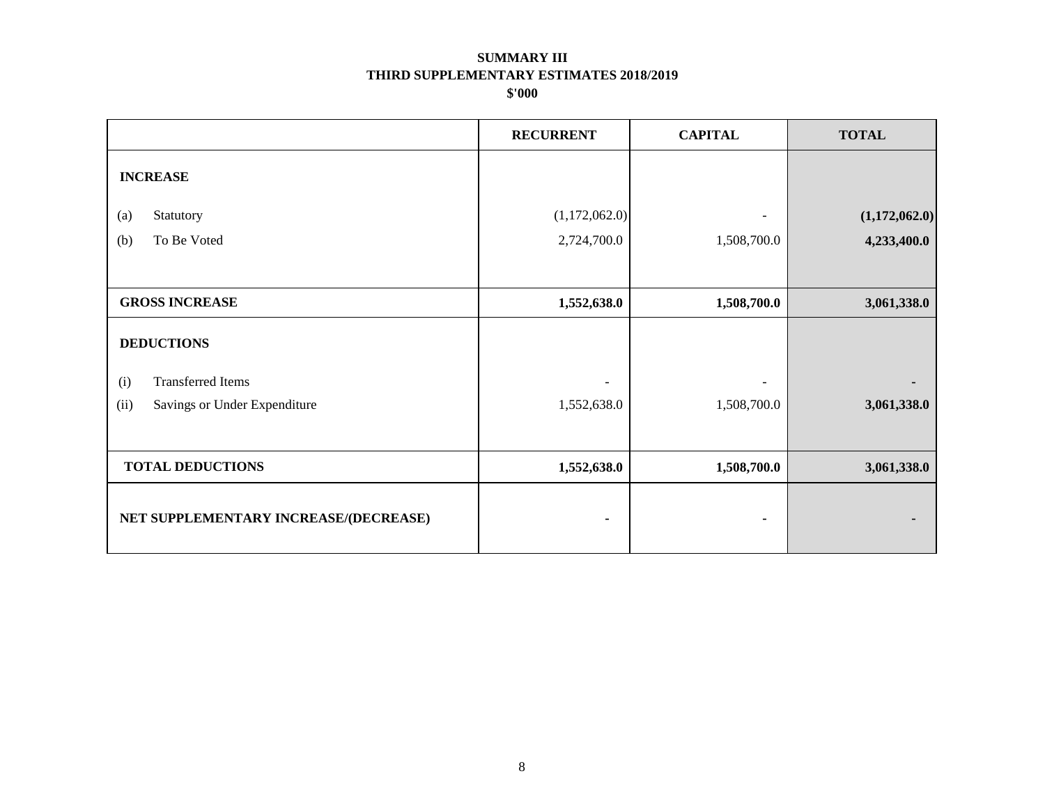|                                       | <b>RECURRENT</b> | <b>CAPITAL</b> | <b>TOTAL</b>  |
|---------------------------------------|------------------|----------------|---------------|
| <b>INCREASE</b>                       |                  |                |               |
| Statutory<br>(a)                      | (1,172,062.0)    |                | (1,172,062.0) |
| To Be Voted<br>(b)                    | 2,724,700.0      | 1,508,700.0    | 4,233,400.0   |
|                                       |                  |                |               |
| <b>GROSS INCREASE</b>                 | 1,552,638.0      | 1,508,700.0    | 3,061,338.0   |
| <b>DEDUCTIONS</b>                     |                  |                |               |
| <b>Transferred Items</b><br>(i)       |                  |                |               |
| (ii)<br>Savings or Under Expenditure  | 1,552,638.0      | 1,508,700.0    | 3,061,338.0   |
|                                       |                  |                |               |
| <b>TOTAL DEDUCTIONS</b>               | 1,552,638.0      | 1,508,700.0    | 3,061,338.0   |
| NET SUPPLEMENTARY INCREASE/(DECREASE) |                  |                |               |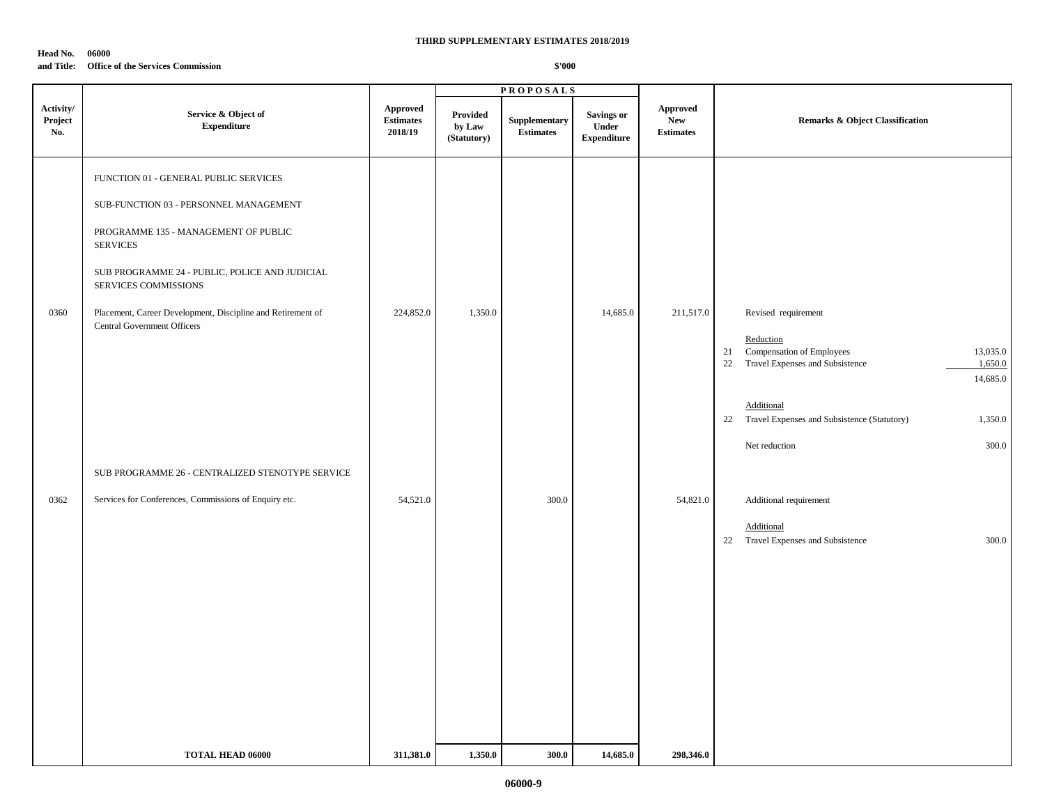#### **Head No. 06000**

### **and Title: Office of the Services Commission**

|                             |                                                                                                   |                                                | <b>PROPOSALS</b>                  |                                   |                                           |                                                   |                                                                                                                          |
|-----------------------------|---------------------------------------------------------------------------------------------------|------------------------------------------------|-----------------------------------|-----------------------------------|-------------------------------------------|---------------------------------------------------|--------------------------------------------------------------------------------------------------------------------------|
| Activity/<br>Project<br>No. | Service & Object of<br><b>Expenditure</b>                                                         | <b>Approved</b><br><b>Estimates</b><br>2018/19 | Provided<br>by Law<br>(Statutory) | Supplementary<br><b>Estimates</b> | Savings or<br>Under<br><b>Expenditure</b> | <b>Approved</b><br><b>New</b><br><b>Estimates</b> | <b>Remarks &amp; Object Classification</b>                                                                               |
|                             | FUNCTION 01 - GENERAL PUBLIC SERVICES                                                             |                                                |                                   |                                   |                                           |                                                   |                                                                                                                          |
|                             | SUB-FUNCTION 03 - PERSONNEL MANAGEMENT                                                            |                                                |                                   |                                   |                                           |                                                   |                                                                                                                          |
|                             | PROGRAMME 135 - MANAGEMENT OF PUBLIC<br><b>SERVICES</b>                                           |                                                |                                   |                                   |                                           |                                                   |                                                                                                                          |
|                             | SUB PROGRAMME 24 - PUBLIC, POLICE AND JUDICIAL<br>SERVICES COMMISSIONS                            |                                                |                                   |                                   |                                           |                                                   |                                                                                                                          |
| 0360                        | Placement, Career Development, Discipline and Retirement of<br><b>Central Government Officers</b> | 224,852.0                                      | 1,350.0                           |                                   | 14,685.0                                  | 211,517.0                                         | Revised requirement                                                                                                      |
|                             |                                                                                                   |                                                |                                   |                                   |                                           |                                                   | Reduction<br>Compensation of Employees<br>13,035.0<br>21<br>22<br>Travel Expenses and Subsistence<br>1,650.0<br>14,685.0 |
|                             |                                                                                                   |                                                |                                   |                                   |                                           |                                                   | Additional<br>Travel Expenses and Subsistence (Statutory)<br>1,350.0<br>22                                               |
|                             |                                                                                                   |                                                |                                   |                                   |                                           |                                                   | 300.0<br>Net reduction                                                                                                   |
|                             | SUB PROGRAMME 26 - CENTRALIZED STENOTYPE SERVICE                                                  |                                                |                                   |                                   |                                           |                                                   |                                                                                                                          |
| 0362                        | Services for Conferences, Commissions of Enquiry etc.                                             | 54,521.0                                       |                                   | 300.0                             |                                           | 54,821.0                                          | Additional requirement                                                                                                   |
|                             |                                                                                                   |                                                |                                   |                                   |                                           |                                                   | Additional<br>Travel Expenses and Subsistence<br>300.0<br>22                                                             |
|                             |                                                                                                   |                                                |                                   |                                   |                                           |                                                   |                                                                                                                          |
|                             |                                                                                                   |                                                |                                   |                                   |                                           |                                                   |                                                                                                                          |
|                             |                                                                                                   |                                                |                                   |                                   |                                           |                                                   |                                                                                                                          |
|                             |                                                                                                   |                                                |                                   |                                   |                                           |                                                   |                                                                                                                          |
|                             |                                                                                                   |                                                |                                   |                                   |                                           |                                                   |                                                                                                                          |
|                             |                                                                                                   |                                                |                                   |                                   |                                           |                                                   |                                                                                                                          |
|                             | <b>TOTAL HEAD 06000</b>                                                                           | 311,381.0                                      | 1,350.0                           | 300.0                             | 14,685.0                                  | 298,346.0                                         |                                                                                                                          |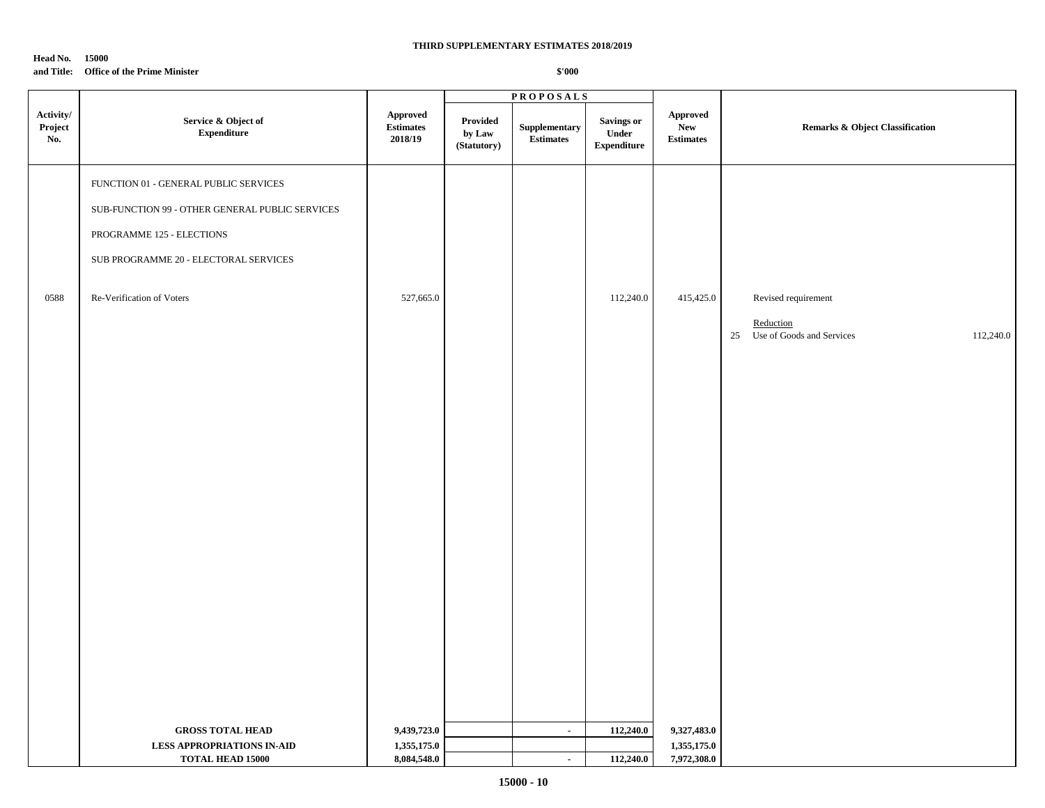### **Head No. 15000 and Title: Office of the Prime Minister**

|                             |                                                                                                                                                                                             |                                           | <b>PROPOSALS</b>                  |                                       |                                           |                                            |                                                                               |
|-----------------------------|---------------------------------------------------------------------------------------------------------------------------------------------------------------------------------------------|-------------------------------------------|-----------------------------------|---------------------------------------|-------------------------------------------|--------------------------------------------|-------------------------------------------------------------------------------|
| Activity/<br>Project<br>No. | Service & Object of<br>${\bf Expenditure}$                                                                                                                                                  | Approved<br><b>Estimates</b><br>2018/19   | Provided<br>by Law<br>(Statutory) | Supplementary<br><b>Estimates</b>     | Savings or<br>Under<br><b>Expenditure</b> | Approved<br><b>New</b><br><b>Estimates</b> | Remarks & Object Classification                                               |
| 0588                        | FUNCTION 01 - GENERAL PUBLIC SERVICES<br>SUB-FUNCTION 99 - OTHER GENERAL PUBLIC SERVICES<br>PROGRAMME 125 - ELECTIONS<br>SUB PROGRAMME 20 - ELECTORAL SERVICES<br>Re-Verification of Voters | 527,665.0                                 |                                   |                                       | 112,240.0                                 | 415,425.0                                  | Revised requirement<br>Reduction<br>25 Use of Goods and Services<br>112,240.0 |
|                             | <b>GROSS TOTAL HEAD</b><br><b>LESS APPROPRIATIONS IN-AID</b><br><b>TOTAL HEAD 15000</b>                                                                                                     | 9,439,723.0<br>1,355,175.0<br>8,084,548.0 |                                   | $\mathcal{L}_{\mathcal{A}}$<br>$\sim$ | 112,240.0<br>112,240.0                    | 9,327,483.0<br>1,355,175.0<br>7,972,308.0  |                                                                               |
|                             |                                                                                                                                                                                             |                                           |                                   |                                       |                                           |                                            |                                                                               |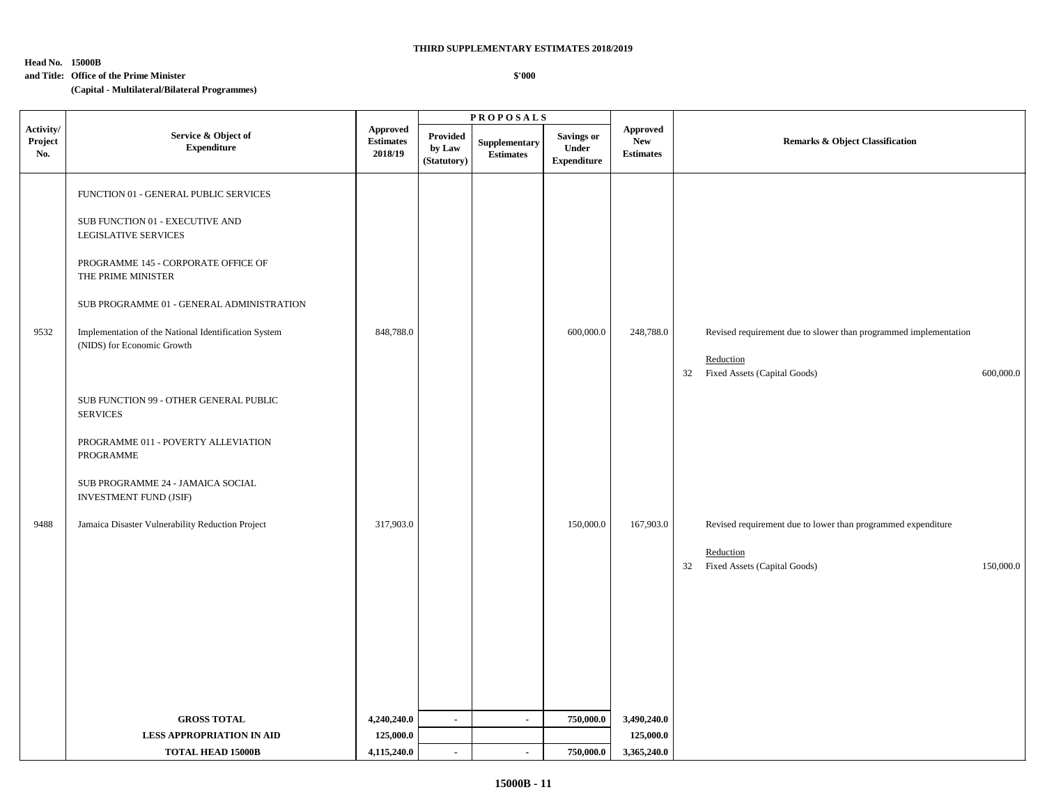### **Head No. 15000B**

#### **and Title: Office of the Prime Minister**

 **\$'000**

**(Capital - Multilateral/Bilateral Programmes)**

|                             |                                                                                                                                                                                                                                                                                                                                                                      | <b>PROPOSALS</b>                               |                                          |                                   |                                                  |                                                   |                                                                                                                                  |  |
|-----------------------------|----------------------------------------------------------------------------------------------------------------------------------------------------------------------------------------------------------------------------------------------------------------------------------------------------------------------------------------------------------------------|------------------------------------------------|------------------------------------------|-----------------------------------|--------------------------------------------------|---------------------------------------------------|----------------------------------------------------------------------------------------------------------------------------------|--|
| Activity/<br>Project<br>No. | Service & Object of<br><b>Expenditure</b>                                                                                                                                                                                                                                                                                                                            | <b>Approved</b><br><b>Estimates</b><br>2018/19 | <b>Provided</b><br>by Law<br>(Statutory) | Supplementary<br><b>Estimates</b> | <b>Savings or</b><br>Under<br><b>Expenditure</b> | <b>Approved</b><br><b>New</b><br><b>Estimates</b> | <b>Remarks &amp; Object Classification</b>                                                                                       |  |
| 9532                        | FUNCTION 01 - GENERAL PUBLIC SERVICES<br>SUB FUNCTION 01 - EXECUTIVE AND<br><b>LEGISLATIVE SERVICES</b><br>PROGRAMME 145 - CORPORATE OFFICE OF<br>THE PRIME MINISTER<br>SUB PROGRAMME 01 - GENERAL ADMINISTRATION<br>Implementation of the National Identification System<br>(NIDS) for Economic Growth<br>SUB FUNCTION 99 - OTHER GENERAL PUBLIC<br><b>SERVICES</b> | 848,788.0                                      |                                          |                                   | 600,000.0                                        | 248,788.0                                         | Revised requirement due to slower than programmed implementation<br>Reduction<br>Fixed Assets (Capital Goods)<br>32<br>600,000.0 |  |
|                             | PROGRAMME 011 - POVERTY ALLEVIATION<br>PROGRAMME<br>SUB PROGRAMME 24 - JAMAICA SOCIAL<br>INVESTMENT FUND (JSIF)                                                                                                                                                                                                                                                      |                                                |                                          |                                   |                                                  |                                                   |                                                                                                                                  |  |
| 9488                        | Jamaica Disaster Vulnerability Reduction Project                                                                                                                                                                                                                                                                                                                     | 317,903.0                                      |                                          |                                   | 150,000.0                                        | 167,903.0                                         | Revised requirement due to lower than programmed expenditure<br>Reduction<br>Fixed Assets (Capital Goods)<br>150,000.0<br>32     |  |
|                             | <b>GROSS TOTAL</b>                                                                                                                                                                                                                                                                                                                                                   | 4,240,240.0                                    | $\blacksquare$                           | $\sim$                            | 750,000.0                                        | 3,490,240.0                                       |                                                                                                                                  |  |
|                             | LESS APPROPRIATION IN AID                                                                                                                                                                                                                                                                                                                                            | 125,000.0                                      |                                          |                                   |                                                  | 125,000.0                                         |                                                                                                                                  |  |
|                             | <b>TOTAL HEAD 15000B</b>                                                                                                                                                                                                                                                                                                                                             | 4,115,240.0                                    | $\blacksquare$                           | $\sim$                            | 750,000.0                                        | 3,365,240.0                                       |                                                                                                                                  |  |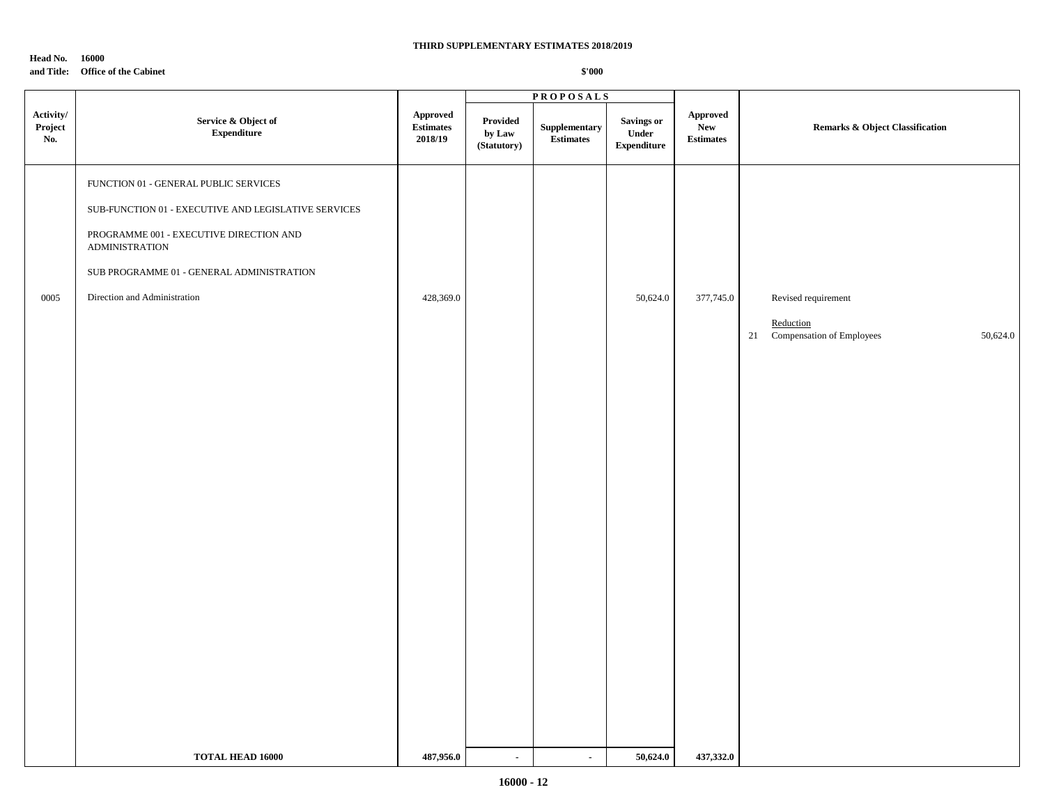### **Head No. 16000 and Title: Office of the Cabinet**

|                             |                                                                                                                                                                                                                                                               |                                                | <b>PROPOSALS</b>                  |                            |                                                  |                                                                    |                                                                              |
|-----------------------------|---------------------------------------------------------------------------------------------------------------------------------------------------------------------------------------------------------------------------------------------------------------|------------------------------------------------|-----------------------------------|----------------------------|--------------------------------------------------|--------------------------------------------------------------------|------------------------------------------------------------------------------|
| Activity/<br>Project<br>No. | Service & Object of<br>${\bf Expenditure}$                                                                                                                                                                                                                    | <b>Approved</b><br><b>Estimates</b><br>2018/19 | Provided<br>by Law<br>(Statutory) | Supplementary<br>Estimates | <b>Savings or</b><br>Under<br><b>Expenditure</b> | Approved<br><b>New</b><br>$\label{p:estimates} \textbf{Estimates}$ | Remarks & Object Classification                                              |
| 0005                        | FUNCTION 01 - GENERAL PUBLIC SERVICES<br>${\tt SUB\text{-}FUNCTION}$ 01 - EXECUTIVE AND LEGISLATIVE SERVICES<br>PROGRAMME 001 - EXECUTIVE DIRECTION AND<br><b>ADMINISTRATION</b><br>SUB PROGRAMME 01 - GENERAL ADMINISTRATION<br>Direction and Administration | 428,369.0                                      |                                   |                            | 50,624.0                                         | 377,745.0                                                          | Revised requirement<br>Reduction<br>21 Compensation of Employees<br>50,624.0 |
|                             | <b>TOTAL HEAD 16000</b>                                                                                                                                                                                                                                       | 487,956.0                                      | $\blacksquare$                    | $\blacksquare$             | 50,624.0                                         | 437,332.0                                                          |                                                                              |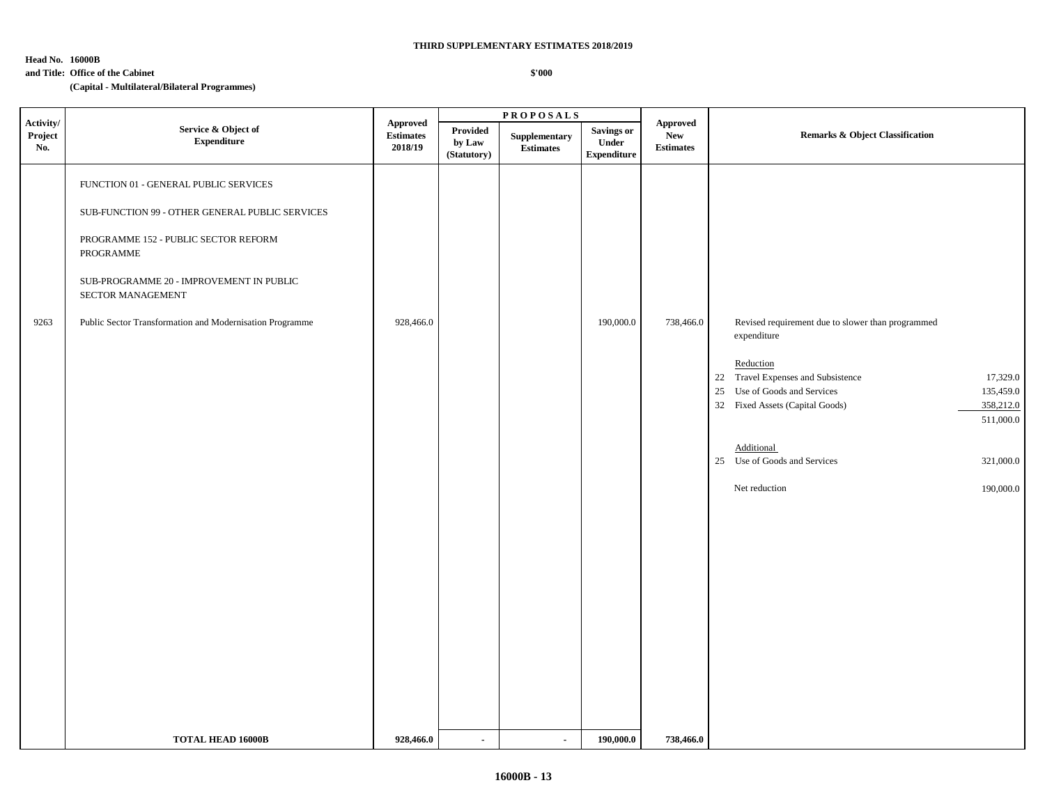### **Head No. 16000B**

 $\blacksquare$ 

#### **and Title: Office of the Cabinet**

**(Capital - Multilateral/Bilateral Programmes)**

|                             |                                                                                                                                                                                                                |                                         |                                   | <b>PROPOSALS</b>                  |                                                         |                                            |                                                                                                                                                                                                                                                                                                                                    |  |
|-----------------------------|----------------------------------------------------------------------------------------------------------------------------------------------------------------------------------------------------------------|-----------------------------------------|-----------------------------------|-----------------------------------|---------------------------------------------------------|--------------------------------------------|------------------------------------------------------------------------------------------------------------------------------------------------------------------------------------------------------------------------------------------------------------------------------------------------------------------------------------|--|
| Activity/<br>Project<br>No. | Service & Object of<br><b>Expenditure</b>                                                                                                                                                                      | Approved<br><b>Estimates</b><br>2018/19 | Provided<br>by Law<br>(Statutory) | Supplementary<br><b>Estimates</b> | <b>Savings or</b><br><b>Under</b><br><b>Expenditure</b> | Approved<br><b>New</b><br><b>Estimates</b> | <b>Remarks &amp; Object Classification</b>                                                                                                                                                                                                                                                                                         |  |
|                             | FUNCTION 01 - GENERAL PUBLIC SERVICES<br>SUB-FUNCTION 99 - OTHER GENERAL PUBLIC SERVICES<br>PROGRAMME 152 - PUBLIC SECTOR REFORM<br>PROGRAMME<br>SUB-PROGRAMME 20 - IMPROVEMENT IN PUBLIC<br>SECTOR MANAGEMENT |                                         |                                   |                                   |                                                         |                                            |                                                                                                                                                                                                                                                                                                                                    |  |
| 9263                        | Public Sector Transformation and Modernisation Programme                                                                                                                                                       | 928,466.0                               |                                   |                                   | 190,000.0                                               | 738,466.0                                  | Revised requirement due to slower than programmed<br>expenditure<br>Reduction<br>22 Travel Expenses and Subsistence<br>17,329.0<br>25 Use of Goods and Services<br>135,459.0<br>32 Fixed Assets (Capital Goods)<br>358,212.0<br>511,000.0<br>Additional<br>25 Use of Goods and Services<br>321,000.0<br>Net reduction<br>190,000.0 |  |
|                             | <b>TOTAL HEAD 16000B</b>                                                                                                                                                                                       | 928,466.0                               | $\sim$                            | $\blacksquare$                    | 190,000.0                                               | 738,466.0                                  |                                                                                                                                                                                                                                                                                                                                    |  |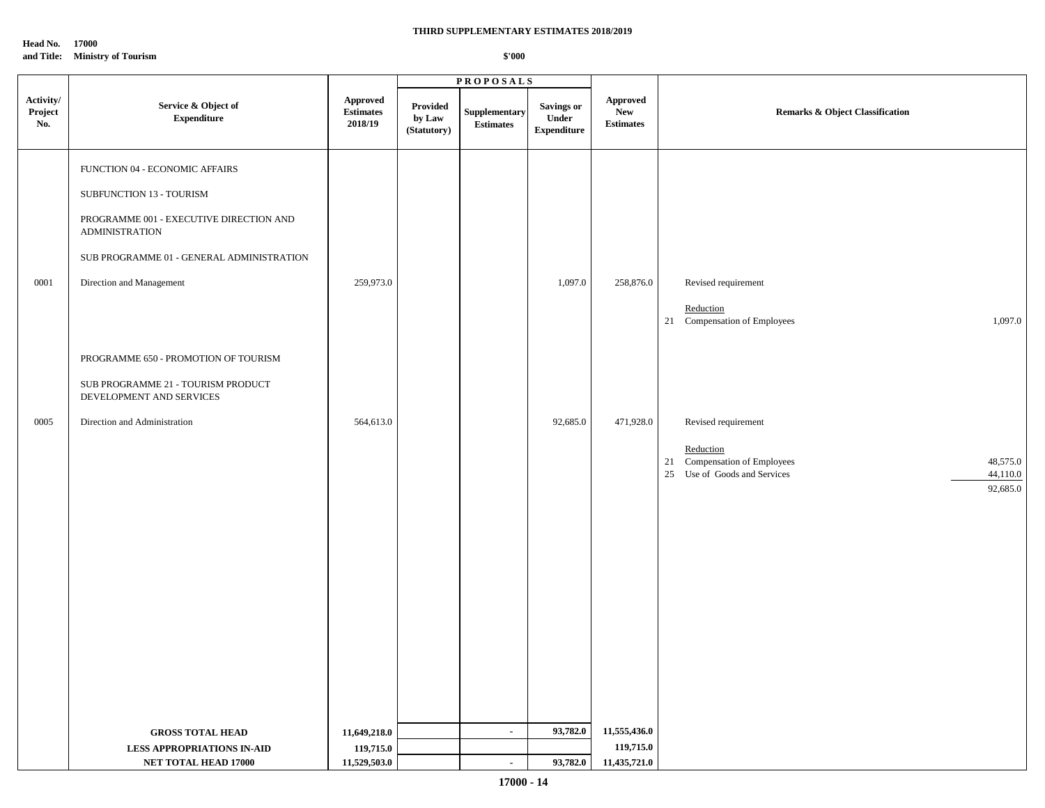**Head No. 17000 and Title: Ministry of Tourism** 

|                             |                                                                  |                                                                  |                                   | <b>PROPOSALS</b>                  |                                           |                                            |                                                                                                                  |
|-----------------------------|------------------------------------------------------------------|------------------------------------------------------------------|-----------------------------------|-----------------------------------|-------------------------------------------|--------------------------------------------|------------------------------------------------------------------------------------------------------------------|
| Activity/<br>Project<br>No. | Service & Object of<br><b>Expenditure</b>                        | Approved<br>$\label{eq:estimates} \textbf{Estimates}$<br>2018/19 | Provided<br>by Law<br>(Statutory) | Supplementary<br><b>Estimates</b> | Savings or<br>Under<br><b>Expenditure</b> | Approved<br><b>New</b><br><b>Estimates</b> | Remarks & Object Classification                                                                                  |
|                             | FUNCTION 04 - ECONOMIC AFFAIRS                                   |                                                                  |                                   |                                   |                                           |                                            |                                                                                                                  |
|                             | SUBFUNCTION 13 - TOURISM                                         |                                                                  |                                   |                                   |                                           |                                            |                                                                                                                  |
|                             | PROGRAMME 001 - EXECUTIVE DIRECTION AND<br><b>ADMINISTRATION</b> |                                                                  |                                   |                                   |                                           |                                            |                                                                                                                  |
|                             | SUB PROGRAMME 01 - GENERAL ADMINISTRATION                        |                                                                  |                                   |                                   |                                           |                                            |                                                                                                                  |
| 0001                        | Direction and Management                                         | 259,973.0                                                        |                                   |                                   | 1,097.0                                   | 258,876.0                                  | Revised requirement                                                                                              |
|                             |                                                                  |                                                                  |                                   |                                   |                                           |                                            | Reduction<br>21 Compensation of Employees<br>1,097.0                                                             |
|                             | PROGRAMME 650 - PROMOTION OF TOURISM                             |                                                                  |                                   |                                   |                                           |                                            |                                                                                                                  |
|                             | SUB PROGRAMME 21 - TOURISM PRODUCT<br>DEVELOPMENT AND SERVICES   |                                                                  |                                   |                                   |                                           |                                            |                                                                                                                  |
| 0005                        | Direction and Administration                                     | 564,613.0                                                        |                                   |                                   | 92,685.0                                  | 471,928.0                                  | Revised requirement                                                                                              |
|                             |                                                                  |                                                                  |                                   |                                   |                                           |                                            | Reduction<br>21 Compensation of Employees<br>48,575.0<br>Use of Goods and Services<br>44,110.0<br>25<br>92,685.0 |
|                             |                                                                  |                                                                  |                                   |                                   |                                           |                                            |                                                                                                                  |
|                             |                                                                  |                                                                  |                                   |                                   |                                           |                                            |                                                                                                                  |
|                             |                                                                  |                                                                  |                                   |                                   |                                           |                                            |                                                                                                                  |
|                             |                                                                  |                                                                  |                                   |                                   |                                           |                                            |                                                                                                                  |
|                             |                                                                  |                                                                  |                                   |                                   |                                           |                                            |                                                                                                                  |
|                             | <b>GROSS TOTAL HEAD</b>                                          | 11,649,218.0                                                     |                                   | $\sim$                            | 93,782.0                                  | 11,555,436.0                               |                                                                                                                  |
|                             | <b>LESS APPROPRIATIONS IN-AID</b>                                | 119,715.0                                                        |                                   |                                   |                                           | 119,715.0                                  |                                                                                                                  |
|                             | <b>NET TOTAL HEAD 17000</b>                                      | 11,529,503.0                                                     |                                   | $\sim$                            | 93,782.0                                  | 11,435,721.0                               |                                                                                                                  |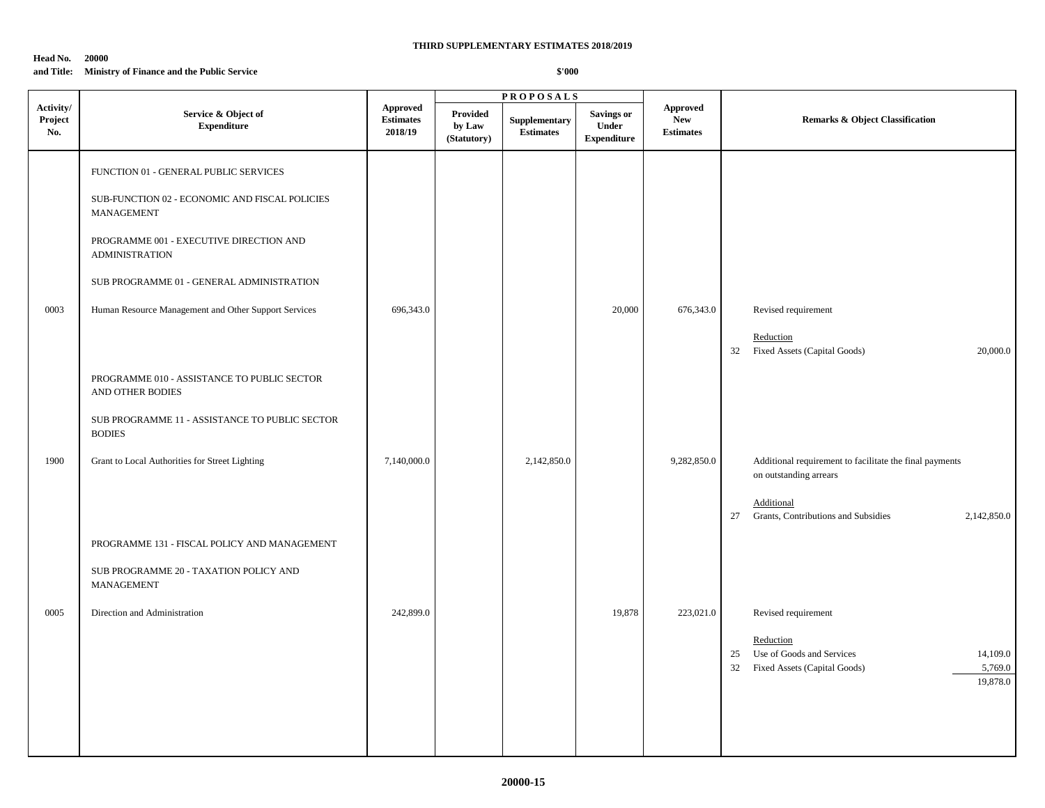### **Head No. 20000**

### **and Title: Ministry of Finance and the Public Service**

|                             |                                                                                                                                                                                                                                                                                                                                                                                                                      |                                                |                                          | <b>PROPOSALS</b>                  |                                                  |                                                   |                                                                                                                                                             |
|-----------------------------|----------------------------------------------------------------------------------------------------------------------------------------------------------------------------------------------------------------------------------------------------------------------------------------------------------------------------------------------------------------------------------------------------------------------|------------------------------------------------|------------------------------------------|-----------------------------------|--------------------------------------------------|---------------------------------------------------|-------------------------------------------------------------------------------------------------------------------------------------------------------------|
| Activity/<br>Project<br>No. | Service & Object of<br>${\bf Expenditure}$                                                                                                                                                                                                                                                                                                                                                                           | <b>Approved</b><br><b>Estimates</b><br>2018/19 | <b>Provided</b><br>by Law<br>(Statutory) | Supplementary<br><b>Estimates</b> | <b>Savings or</b><br>Under<br><b>Expenditure</b> | <b>Approved</b><br><b>New</b><br><b>Estimates</b> | <b>Remarks &amp; Object Classification</b>                                                                                                                  |
| 0003                        | FUNCTION 01 - GENERAL PUBLIC SERVICES<br>SUB-FUNCTION 02 - ECONOMIC AND FISCAL POLICIES<br>MANAGEMENT<br>PROGRAMME 001 - EXECUTIVE DIRECTION AND<br><b>ADMINISTRATION</b><br>SUB PROGRAMME 01 - GENERAL ADMINISTRATION<br>Human Resource Management and Other Support Services<br>PROGRAMME 010 - ASSISTANCE TO PUBLIC SECTOR<br>AND OTHER BODIES<br>SUB PROGRAMME 11 - ASSISTANCE TO PUBLIC SECTOR<br><b>BODIES</b> | 696,343.0                                      |                                          |                                   | 20,000                                           | 676,343.0                                         | Revised requirement<br>Reduction<br>Fixed Assets (Capital Goods)<br>32<br>20,000.0                                                                          |
| 1900                        | Grant to Local Authorities for Street Lighting<br>PROGRAMME 131 - FISCAL POLICY AND MANAGEMENT<br>SUB PROGRAMME 20 - TAXATION POLICY AND<br><b>MANAGEMENT</b>                                                                                                                                                                                                                                                        | 7,140,000.0                                    |                                          | 2,142,850.0                       |                                                  | 9,282,850.0                                       | Additional requirement to facilitate the final payments<br>on outstanding arrears<br>Additional<br>27<br>Grants, Contributions and Subsidies<br>2,142,850.0 |
| 0005                        | Direction and Administration                                                                                                                                                                                                                                                                                                                                                                                         | 242,899.0                                      |                                          |                                   | 19,878                                           | 223,021.0                                         | Revised requirement<br>Reduction<br>Use of Goods and Services<br>14,109.0<br>25<br>32<br>Fixed Assets (Capital Goods)<br>5,769.0<br>19,878.0                |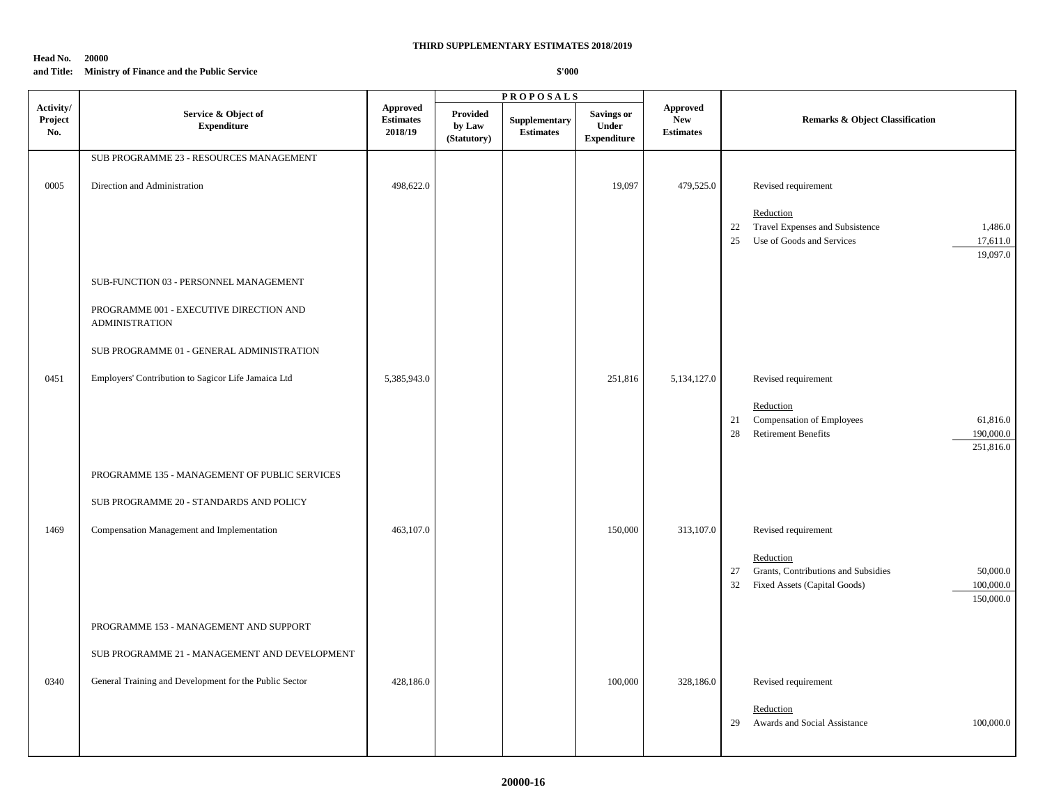#### **Head No. 20000**

### **and Title: Ministry of Finance and the Public Service**

|                             |                                                                  |                                                |                                          | <b>PROPOSALS</b>                  |                                                         |                                            |                                                                                                                                                 |
|-----------------------------|------------------------------------------------------------------|------------------------------------------------|------------------------------------------|-----------------------------------|---------------------------------------------------------|--------------------------------------------|-------------------------------------------------------------------------------------------------------------------------------------------------|
| Activity/<br>Project<br>No. | Service & Object of<br><b>Expenditure</b>                        | <b>Approved</b><br><b>Estimates</b><br>2018/19 | <b>Provided</b><br>by Law<br>(Statutory) | Supplementary<br><b>Estimates</b> | <b>Savings or</b><br><b>Under</b><br><b>Expenditure</b> | Approved<br><b>New</b><br><b>Estimates</b> | <b>Remarks &amp; Object Classification</b>                                                                                                      |
|                             | SUB PROGRAMME 23 - RESOURCES MANAGEMENT                          |                                                |                                          |                                   |                                                         |                                            |                                                                                                                                                 |
| 0005                        | Direction and Administration                                     | 498,622.0                                      |                                          |                                   | 19,097                                                  | 479,525.0                                  | Revised requirement<br>Reduction<br>Travel Expenses and Subsistence<br>22<br>1,486.0<br>25<br>Use of Goods and Services<br>17,611.0<br>19,097.0 |
|                             |                                                                  |                                                |                                          |                                   |                                                         |                                            |                                                                                                                                                 |
|                             | SUB-FUNCTION 03 - PERSONNEL MANAGEMENT                           |                                                |                                          |                                   |                                                         |                                            |                                                                                                                                                 |
|                             | PROGRAMME 001 - EXECUTIVE DIRECTION AND<br><b>ADMINISTRATION</b> |                                                |                                          |                                   |                                                         |                                            |                                                                                                                                                 |
|                             | SUB PROGRAMME 01 - GENERAL ADMINISTRATION                        |                                                |                                          |                                   |                                                         |                                            |                                                                                                                                                 |
|                             |                                                                  |                                                |                                          |                                   |                                                         |                                            |                                                                                                                                                 |
| 0451                        | Employers' Contribution to Sagicor Life Jamaica Ltd              | 5,385,943.0                                    |                                          |                                   | 251,816                                                 | 5,134,127.0                                | Revised requirement                                                                                                                             |
|                             |                                                                  |                                                |                                          |                                   |                                                         |                                            | Reduction                                                                                                                                       |
|                             |                                                                  |                                                |                                          |                                   |                                                         |                                            | Compensation of Employees<br>61,816.0<br>21                                                                                                     |
|                             |                                                                  |                                                |                                          |                                   |                                                         |                                            | 28<br><b>Retirement Benefits</b><br>190,000.0<br>251,816.0                                                                                      |
|                             |                                                                  |                                                |                                          |                                   |                                                         |                                            |                                                                                                                                                 |
|                             | PROGRAMME 135 - MANAGEMENT OF PUBLIC SERVICES                    |                                                |                                          |                                   |                                                         |                                            |                                                                                                                                                 |
|                             | SUB PROGRAMME 20 - STANDARDS AND POLICY                          |                                                |                                          |                                   |                                                         |                                            |                                                                                                                                                 |
| 1469                        | Compensation Management and Implementation                       | 463,107.0                                      |                                          |                                   | 150,000                                                 | 313,107.0                                  | Revised requirement                                                                                                                             |
|                             |                                                                  |                                                |                                          |                                   |                                                         |                                            |                                                                                                                                                 |
|                             |                                                                  |                                                |                                          |                                   |                                                         |                                            | Reduction                                                                                                                                       |
|                             |                                                                  |                                                |                                          |                                   |                                                         |                                            | Grants, Contributions and Subsidies<br>50,000.0<br>27<br>100,000.0<br>32<br>Fixed Assets (Capital Goods)                                        |
|                             |                                                                  |                                                |                                          |                                   |                                                         |                                            | 150,000.0                                                                                                                                       |
|                             | PROGRAMME 153 - MANAGEMENT AND SUPPORT                           |                                                |                                          |                                   |                                                         |                                            |                                                                                                                                                 |
|                             | SUB PROGRAMME 21 - MANAGEMENT AND DEVELOPMENT                    |                                                |                                          |                                   |                                                         |                                            |                                                                                                                                                 |
|                             |                                                                  |                                                |                                          |                                   |                                                         |                                            |                                                                                                                                                 |
| 0340                        | General Training and Development for the Public Sector           | 428,186.0                                      |                                          |                                   | 100,000                                                 | 328,186.0                                  | Revised requirement                                                                                                                             |
|                             |                                                                  |                                                |                                          |                                   |                                                         |                                            | Reduction                                                                                                                                       |
|                             |                                                                  |                                                |                                          |                                   |                                                         |                                            | 29 Awards and Social Assistance<br>100,000.0                                                                                                    |
|                             |                                                                  |                                                |                                          |                                   |                                                         |                                            |                                                                                                                                                 |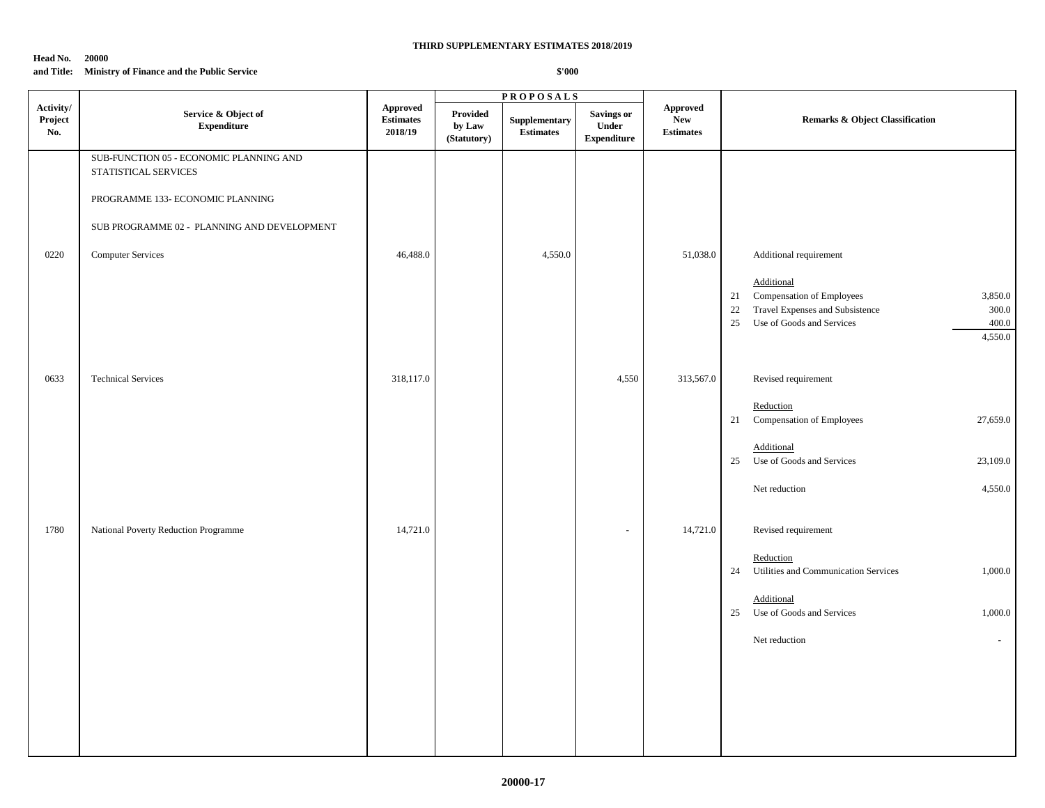#### **Head No. 20000**

### **and Title: Ministry of Finance and the Public Service**

|                             |                                                                                                                                                                                |                                         |                                   | <b>PROPOSALS</b>                  |                                           |                                                   |                                                                                                                                                                                             |  |
|-----------------------------|--------------------------------------------------------------------------------------------------------------------------------------------------------------------------------|-----------------------------------------|-----------------------------------|-----------------------------------|-------------------------------------------|---------------------------------------------------|---------------------------------------------------------------------------------------------------------------------------------------------------------------------------------------------|--|
| Activity/<br>Project<br>No. | Service & Object of<br><b>Expenditure</b>                                                                                                                                      | Approved<br><b>Estimates</b><br>2018/19 | Provided<br>by Law<br>(Statutory) | Supplementary<br><b>Estimates</b> | Savings or<br>Under<br><b>Expenditure</b> | <b>Approved</b><br><b>New</b><br><b>Estimates</b> | <b>Remarks &amp; Object Classification</b>                                                                                                                                                  |  |
| 0220                        | SUB-FUNCTION 05 - ECONOMIC PLANNING AND<br>STATISTICAL SERVICES<br>PROGRAMME 133- ECONOMIC PLANNING<br>SUB PROGRAMME 02 - PLANNING AND DEVELOPMENT<br><b>Computer Services</b> | 46,488.0                                |                                   | 4,550.0                           |                                           | 51,038.0                                          | Additional requirement<br>Additional<br>Compensation of Employees<br>3,850.0<br>21<br>Travel Expenses and Subsistence<br>22<br>300.0<br>25<br>Use of Goods and Services<br>400.0<br>4,550.0 |  |
| 0633                        | <b>Technical Services</b>                                                                                                                                                      | 318,117.0                               |                                   |                                   | 4,550                                     | 313,567.0                                         | Revised requirement<br>Reduction<br>Compensation of Employees<br>27,659.0<br>21                                                                                                             |  |
|                             |                                                                                                                                                                                |                                         |                                   |                                   |                                           |                                                   | Additional<br>25<br>Use of Goods and Services<br>23,109.0<br>4,550.0<br>Net reduction                                                                                                       |  |
| 1780                        | National Poverty Reduction Programme                                                                                                                                           | 14,721.0                                |                                   |                                   |                                           | 14,721.0                                          | Revised requirement<br>Reduction<br>Utilities and Communication Services<br>1,000.0<br>24<br>Additional<br>25<br>Use of Goods and Services<br>1,000.0<br>Net reduction<br>$\sim$            |  |
|                             |                                                                                                                                                                                |                                         |                                   |                                   |                                           |                                                   |                                                                                                                                                                                             |  |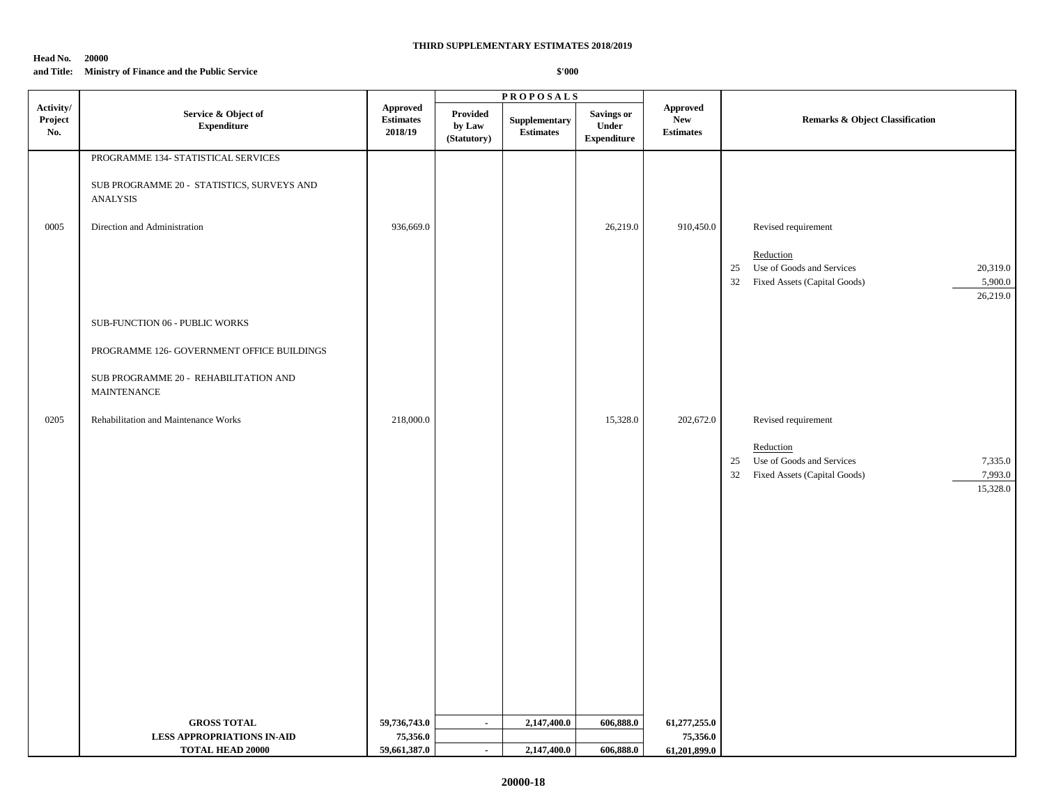#### **Head No. 20000**

### **and Title: Ministry of Finance and the Public Service**

|                             |                                                                                                                                                                                     |                                                |                                   | <b>PROPOSALS</b>                  |                                           |                                                   |                                                                                                                                              |
|-----------------------------|-------------------------------------------------------------------------------------------------------------------------------------------------------------------------------------|------------------------------------------------|-----------------------------------|-----------------------------------|-------------------------------------------|---------------------------------------------------|----------------------------------------------------------------------------------------------------------------------------------------------|
| Activity/<br>Project<br>No. | Service & Object of<br><b>Expenditure</b>                                                                                                                                           | <b>Approved</b><br><b>Estimates</b><br>2018/19 | Provided<br>by Law<br>(Statutory) | Supplementary<br><b>Estimates</b> | Savings or<br>Under<br><b>Expenditure</b> | <b>Approved</b><br><b>New</b><br><b>Estimates</b> | <b>Remarks &amp; Object Classification</b>                                                                                                   |
| 0005                        | PROGRAMME 134- STATISTICAL SERVICES<br>SUB PROGRAMME 20 - STATISTICS, SURVEYS AND<br><b>ANALYSIS</b><br>Direction and Administration                                                | 936,669.0                                      |                                   |                                   | 26,219.0                                  | 910,450.0                                         | Revised requirement<br>Reduction<br>Use of Goods and Services<br>20,319.0<br>25<br>32<br>Fixed Assets (Capital Goods)<br>5,900.0<br>26,219.0 |
| 0205                        | SUB-FUNCTION 06 - PUBLIC WORKS<br>PROGRAMME 126- GOVERNMENT OFFICE BUILDINGS<br>SUB PROGRAMME 20 - REHABILITATION AND<br><b>MAINTENANCE</b><br>Rehabilitation and Maintenance Works | 218,000.0                                      |                                   |                                   | 15,328.0                                  | 202,672.0                                         | Revised requirement                                                                                                                          |
|                             |                                                                                                                                                                                     |                                                |                                   |                                   |                                           |                                                   | Reduction<br>Use of Goods and Services<br>7,335.0<br>25<br>Fixed Assets (Capital Goods)<br>7,993.0<br>32<br>15,328.0                         |
|                             | <b>GROSS TOTAL</b>                                                                                                                                                                  | 59,736,743.0                                   | $\blacksquare$                    | 2,147,400.0                       | 606,888.0                                 | 61,277,255.0                                      |                                                                                                                                              |
|                             | <b>LESS APPROPRIATIONS IN-AID</b>                                                                                                                                                   | 75,356.0                                       |                                   |                                   |                                           | 75,356.0                                          |                                                                                                                                              |
|                             | <b>TOTAL HEAD 20000</b>                                                                                                                                                             | 59,661,387.0                                   | $\sim$                            | 2,147,400.0                       | 606,888.0                                 | 61,201,899.0                                      |                                                                                                                                              |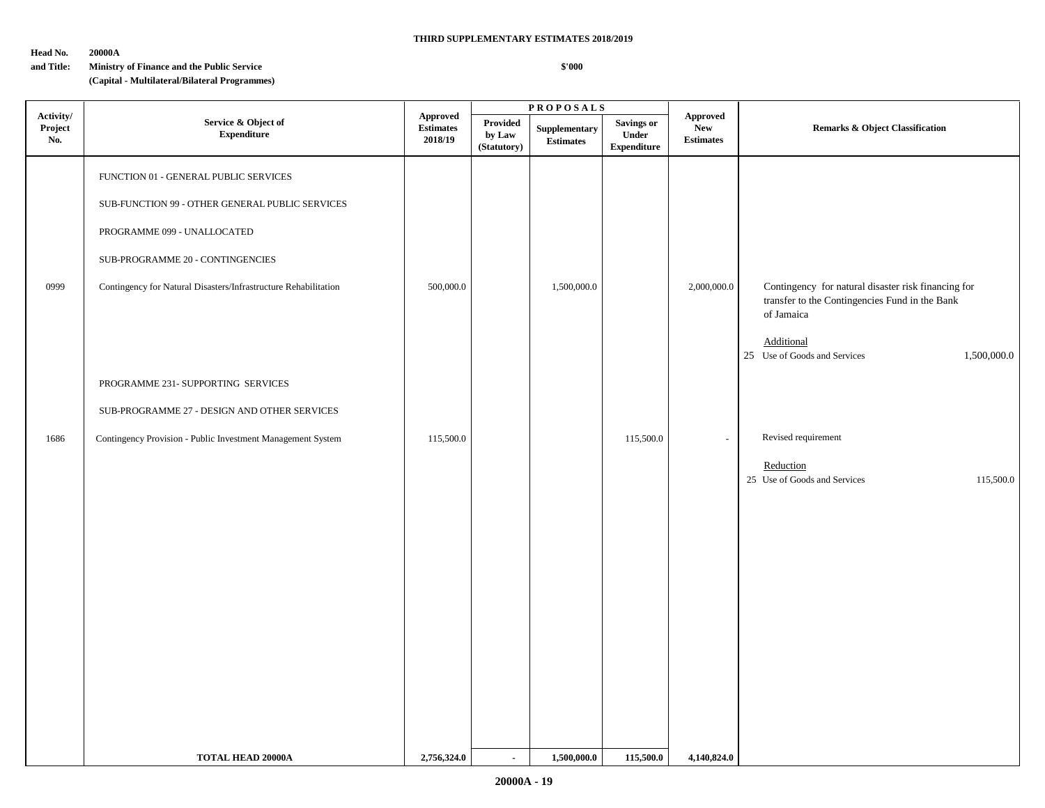### **Head No. 20000A**

### **and Title: Ministry of Finance and the Public Service**

### **(Capital - Multilateral/Bilateral Programmes)**

|                             |                                                                                                                                                                                                                                |                                                |                                          | <b>PROPOSALS</b>                  |                                                          |                                                   |                                                                                                                                                                                  |  |
|-----------------------------|--------------------------------------------------------------------------------------------------------------------------------------------------------------------------------------------------------------------------------|------------------------------------------------|------------------------------------------|-----------------------------------|----------------------------------------------------------|---------------------------------------------------|----------------------------------------------------------------------------------------------------------------------------------------------------------------------------------|--|
| Activity/<br>Project<br>No. | Service & Object of<br><b>Expenditure</b>                                                                                                                                                                                      | <b>Approved</b><br><b>Estimates</b><br>2018/19 | <b>Provided</b><br>by Law<br>(Statutory) | Supplementary<br><b>Estimates</b> | <b>Savings or</b><br><b>Under</b><br>${\bf Expenditure}$ | <b>Approved</b><br><b>New</b><br><b>Estimates</b> | <b>Remarks &amp; Object Classification</b>                                                                                                                                       |  |
| 0999                        | FUNCTION 01 - GENERAL PUBLIC SERVICES<br>SUB-FUNCTION 99 - OTHER GENERAL PUBLIC SERVICES<br>PROGRAMME 099 - UNALLOCATED<br>SUB-PROGRAMME 20 - CONTINGENCIES<br>Contingency for Natural Disasters/Infrastructure Rehabilitation | 500,000.0                                      |                                          | 1,500,000.0                       |                                                          | 2,000,000.0                                       | Contingency for natural disaster risk financing for<br>transfer to the Contingencies Fund in the Bank<br>of Jamaica<br>Additional<br>25 Use of Goods and Services<br>1,500,000.0 |  |
|                             | PROGRAMME 231- SUPPORTING SERVICES<br>SUB-PROGRAMME 27 - DESIGN AND OTHER SERVICES                                                                                                                                             |                                                |                                          |                                   |                                                          |                                                   |                                                                                                                                                                                  |  |
| 1686                        | Contingency Provision - Public Investment Management System                                                                                                                                                                    | 115,500.0                                      |                                          |                                   | 115,500.0                                                | $\sim$                                            | Revised requirement<br>Reduction<br>25 Use of Goods and Services<br>115,500.0                                                                                                    |  |
|                             | <b>TOTAL HEAD 20000A</b>                                                                                                                                                                                                       | 2,756,324.0                                    | $\sim$                                   | 1,500,000.0                       | 115,500.0                                                | 4,140,824.0                                       |                                                                                                                                                                                  |  |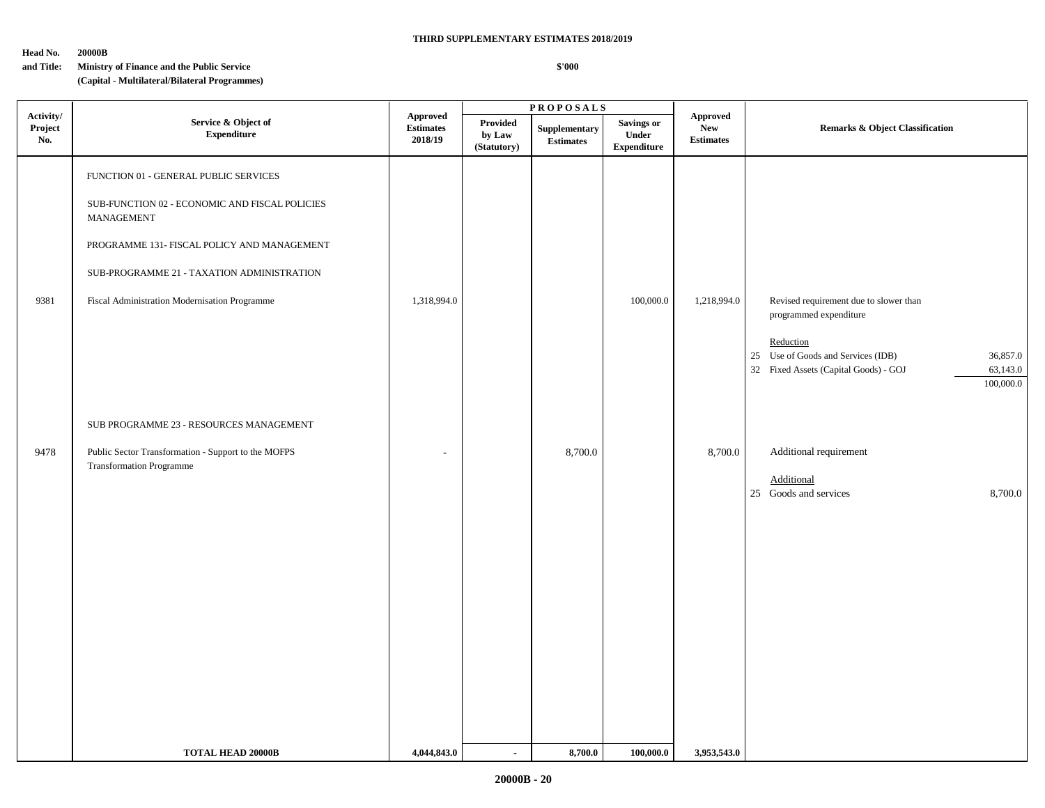### **Head No. 20000B**

### **and Title: Ministry of Finance and the Public Service**

### **(Capital - Multilateral/Bilateral Programmes)**

|                             |                                                                                                                                                                                                                                                     |                                                |                                   | <b>PROPOSALS</b>                  |                                                  |                                                   |                                                                                                                                                                                                      |  |
|-----------------------------|-----------------------------------------------------------------------------------------------------------------------------------------------------------------------------------------------------------------------------------------------------|------------------------------------------------|-----------------------------------|-----------------------------------|--------------------------------------------------|---------------------------------------------------|------------------------------------------------------------------------------------------------------------------------------------------------------------------------------------------------------|--|
| Activity/<br>Project<br>No. | Service & Object of<br><b>Expenditure</b>                                                                                                                                                                                                           | <b>Approved</b><br><b>Estimates</b><br>2018/19 | Provided<br>by Law<br>(Statutory) | Supplementary<br><b>Estimates</b> | Savings or<br><b>Under</b><br><b>Expenditure</b> | <b>Approved</b><br><b>New</b><br><b>Estimates</b> | <b>Remarks &amp; Object Classification</b>                                                                                                                                                           |  |
| 9381                        | FUNCTION 01 - GENERAL PUBLIC SERVICES<br>SUB-FUNCTION 02 - ECONOMIC AND FISCAL POLICIES<br>MANAGEMENT<br>PROGRAMME 131- FISCAL POLICY AND MANAGEMENT<br>SUB-PROGRAMME 21 - TAXATION ADMINISTRATION<br>Fiscal Administration Modernisation Programme | 1,318,994.0                                    |                                   |                                   | 100,000.0                                        | 1,218,994.0                                       | Revised requirement due to slower than<br>programmed expenditure<br>Reduction<br>Use of Goods and Services (IDB)<br>25<br>36,857.0<br>32 Fixed Assets (Capital Goods) - GOJ<br>63,143.0<br>100,000.0 |  |
| 9478                        | SUB PROGRAMME 23 - RESOURCES MANAGEMENT<br>Public Sector Transformation - Support to the MOFPS<br><b>Transformation Programme</b>                                                                                                                   |                                                |                                   | 8,700.0                           |                                                  | 8,700.0                                           | Additional requirement<br>Additional<br>25 Goods and services<br>8,700.0                                                                                                                             |  |
|                             | <b>TOTAL HEAD 20000B</b>                                                                                                                                                                                                                            | 4,044,843.0                                    | $\sim$                            | 8,700.0                           | 100,000.0                                        | 3,953,543.0                                       |                                                                                                                                                                                                      |  |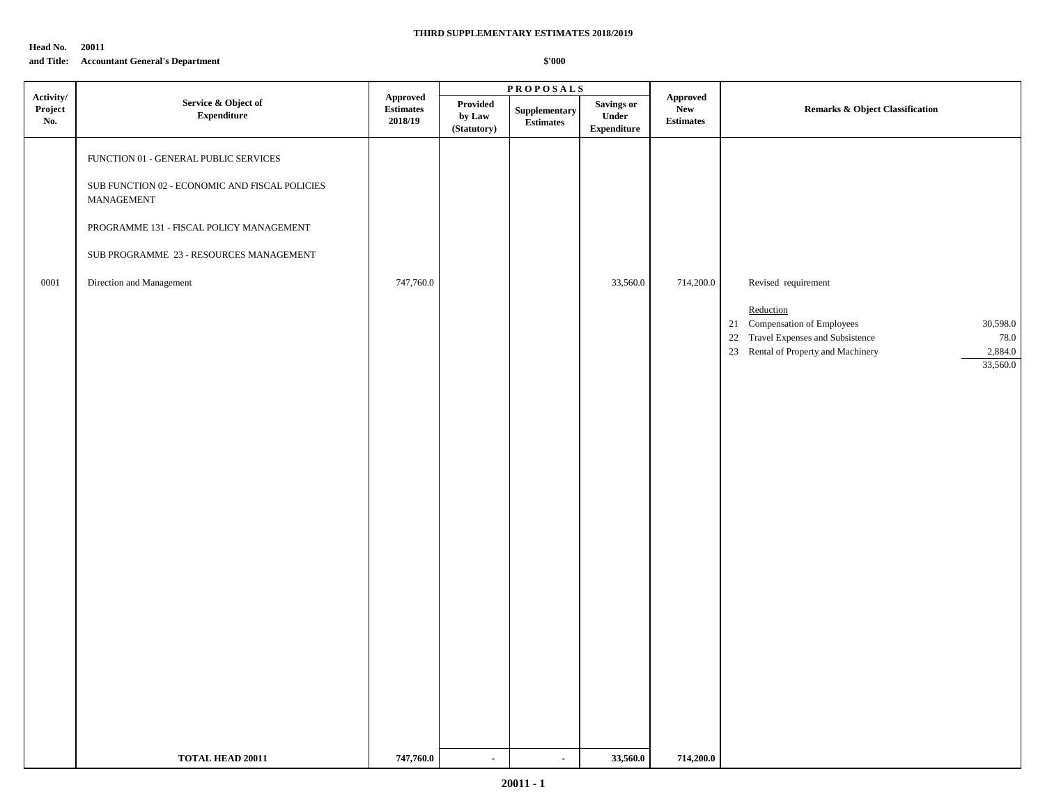**Head No. 20011**

### **and Title: Accountant General's Department**

|                             |                                                                                                                                                                                                                          |                                         |                                   | $\overline{\text{PR}}$ O POSALS   |                                                   |                                            |                                                                                                                                                                                          |
|-----------------------------|--------------------------------------------------------------------------------------------------------------------------------------------------------------------------------------------------------------------------|-----------------------------------------|-----------------------------------|-----------------------------------|---------------------------------------------------|--------------------------------------------|------------------------------------------------------------------------------------------------------------------------------------------------------------------------------------------|
| Activity/<br>Project<br>No. | Service & Object of<br><b>Expenditure</b>                                                                                                                                                                                | Approved<br><b>Estimates</b><br>2018/19 | Provided<br>by Law<br>(Statutory) | Supplementary<br><b>Estimates</b> | <b>Savings or</b><br>Under<br>${\bf Expenditure}$ | Approved<br><b>New</b><br><b>Estimates</b> | <b>Remarks &amp; Object Classification</b>                                                                                                                                               |
| 0001                        | FUNCTION 01 - GENERAL PUBLIC SERVICES<br>SUB FUNCTION 02 - ECONOMIC AND FISCAL POLICIES<br>MANAGEMENT<br>PROGRAMME 131 - FISCAL POLICY MANAGEMENT<br>SUB PROGRAMME 23 - RESOURCES MANAGEMENT<br>Direction and Management | 747,760.0                               |                                   |                                   | 33,560.0                                          | 714,200.0                                  | Revised requirement<br>Reduction<br>21 Compensation of Employees<br>30,598.0<br>22 Travel Expenses and Subsistence<br>78.0<br>23 Rental of Property and Machinery<br>2,884.0<br>33,560.0 |
|                             | <b>TOTAL HEAD 20011</b>                                                                                                                                                                                                  | 747,760.0                               | $\blacksquare$                    | $\sim$                            | 33,560.0                                          | 714,200.0                                  |                                                                                                                                                                                          |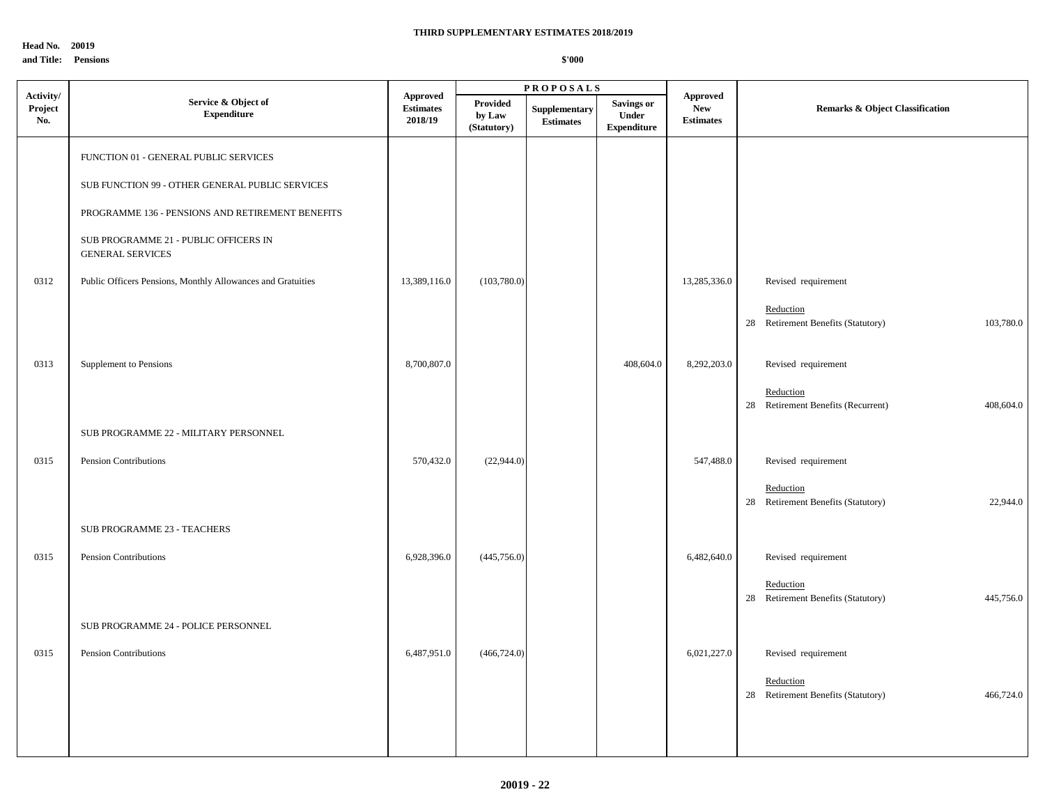**Head No. 20019 and Title: Pensions**

|                             |                                                                  |                                                |                                          | <b>PROPOSALS</b>                  |                                                  |                                                   |                                                              |  |
|-----------------------------|------------------------------------------------------------------|------------------------------------------------|------------------------------------------|-----------------------------------|--------------------------------------------------|---------------------------------------------------|--------------------------------------------------------------|--|
| Activity/<br>Project<br>No. | Service & Object of<br><b>Expenditure</b>                        | <b>Approved</b><br><b>Estimates</b><br>2018/19 | <b>Provided</b><br>by Law<br>(Statutory) | Supplementary<br><b>Estimates</b> | <b>Savings or</b><br>Under<br><b>Expenditure</b> | <b>Approved</b><br><b>New</b><br><b>Estimates</b> | <b>Remarks &amp; Object Classification</b>                   |  |
|                             | FUNCTION 01 - GENERAL PUBLIC SERVICES                            |                                                |                                          |                                   |                                                  |                                                   |                                                              |  |
|                             | SUB FUNCTION 99 - OTHER GENERAL PUBLIC SERVICES                  |                                                |                                          |                                   |                                                  |                                                   |                                                              |  |
|                             | PROGRAMME 136 - PENSIONS AND RETIREMENT BENEFITS                 |                                                |                                          |                                   |                                                  |                                                   |                                                              |  |
|                             | SUB PROGRAMME 21 - PUBLIC OFFICERS IN<br><b>GENERAL SERVICES</b> |                                                |                                          |                                   |                                                  |                                                   |                                                              |  |
| 0312                        | Public Officers Pensions, Monthly Allowances and Gratuities      | 13,389,116.0                                   | (103,780.0)                              |                                   |                                                  | 13,285,336.0                                      | Revised requirement                                          |  |
|                             |                                                                  |                                                |                                          |                                   |                                                  |                                                   | Reduction<br>28 Retirement Benefits (Statutory)<br>103,780.0 |  |
| 0313                        | Supplement to Pensions                                           | 8,700,807.0                                    |                                          |                                   | 408,604.0                                        | 8,292,203.0                                       | Revised requirement                                          |  |
|                             |                                                                  |                                                |                                          |                                   |                                                  |                                                   | Reduction<br>28 Retirement Benefits (Recurrent)<br>408,604.0 |  |
|                             | SUB PROGRAMME 22 - MILITARY PERSONNEL                            |                                                |                                          |                                   |                                                  |                                                   |                                                              |  |
| 0315                        | Pension Contributions                                            | 570,432.0                                      | (22,944.0)                               |                                   |                                                  | 547,488.0                                         | Revised requirement                                          |  |
|                             |                                                                  |                                                |                                          |                                   |                                                  |                                                   | Reduction<br>28 Retirement Benefits (Statutory)<br>22,944.0  |  |
|                             | SUB PROGRAMME 23 - TEACHERS                                      |                                                |                                          |                                   |                                                  |                                                   |                                                              |  |
| 0315                        | Pension Contributions                                            | 6,928,396.0                                    | (445, 756.0)                             |                                   |                                                  | 6,482,640.0                                       | Revised requirement                                          |  |
|                             |                                                                  |                                                |                                          |                                   |                                                  |                                                   | Reduction<br>28 Retirement Benefits (Statutory)<br>445,756.0 |  |
|                             | SUB PROGRAMME 24 - POLICE PERSONNEL                              |                                                |                                          |                                   |                                                  |                                                   |                                                              |  |
| 0315                        | Pension Contributions                                            | 6,487,951.0                                    | (466, 724.0)                             |                                   |                                                  | 6,021,227.0                                       | Revised requirement                                          |  |
|                             |                                                                  |                                                |                                          |                                   |                                                  |                                                   | Reduction<br>28 Retirement Benefits (Statutory)<br>466,724.0 |  |
|                             |                                                                  |                                                |                                          |                                   |                                                  |                                                   |                                                              |  |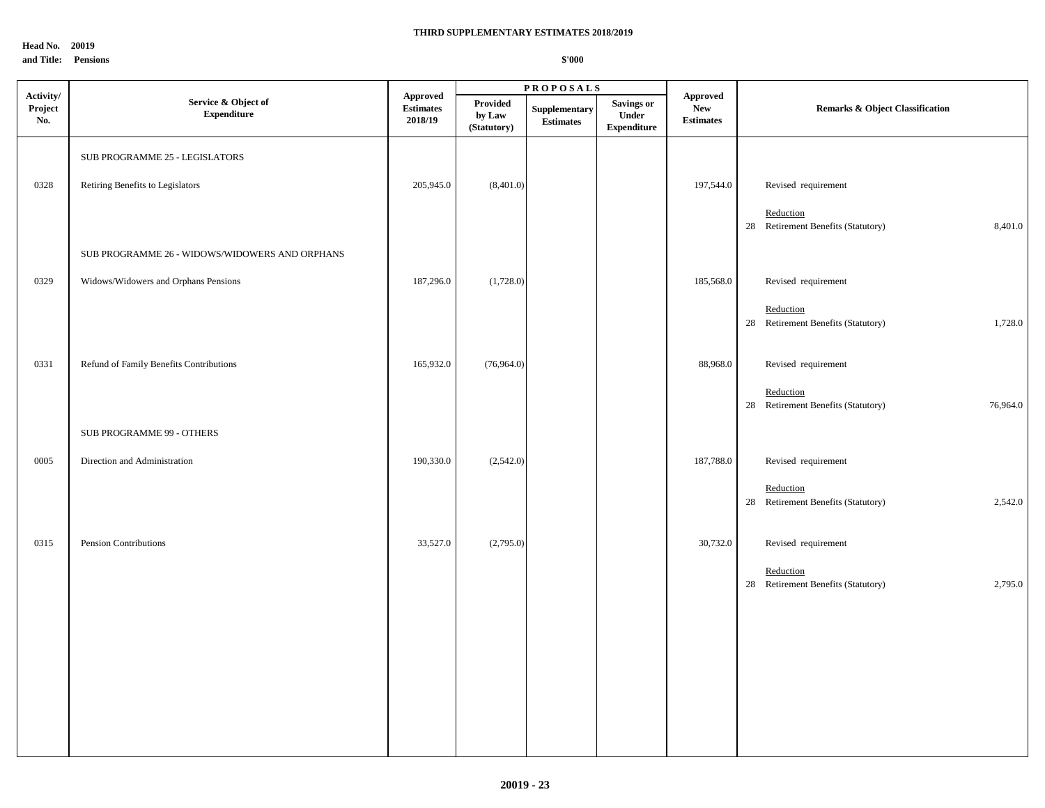**Head No. 20019**

### **and Title: Pensions**

|                             |                                                |                                         |                                   | $\textbf{P}\,\textbf{R}\,\textbf{O}\,\textbf{P}\,\textbf{O}\,\textbf{S}\,\textbf{A}\,\textbf{L}\,\textbf{S}$ |                                                  |                                                   |                                                             |  |
|-----------------------------|------------------------------------------------|-----------------------------------------|-----------------------------------|--------------------------------------------------------------------------------------------------------------|--------------------------------------------------|---------------------------------------------------|-------------------------------------------------------------|--|
| Activity/<br>Project<br>No. | Service & Object of<br><b>Expenditure</b>      | Approved<br><b>Estimates</b><br>2018/19 | Provided<br>by Law<br>(Statutory) | Supplementary<br><b>Estimates</b>                                                                            | <b>Savings or</b><br>Under<br><b>Expenditure</b> | <b>Approved</b><br><b>New</b><br><b>Estimates</b> | Remarks & Object Classification                             |  |
|                             | SUB PROGRAMME 25 - LEGISLATORS                 |                                         |                                   |                                                                                                              |                                                  |                                                   |                                                             |  |
| 0328                        | Retiring Benefits to Legislators               | 205,945.0                               | (8,401.0)                         |                                                                                                              |                                                  | 197,544.0                                         | Revised requirement                                         |  |
|                             |                                                |                                         |                                   |                                                                                                              |                                                  |                                                   | Reduction<br>28 Retirement Benefits (Statutory)             |  |
|                             | SUB PROGRAMME 26 - WIDOWS/WIDOWERS AND ORPHANS |                                         |                                   |                                                                                                              |                                                  |                                                   | 8,401.0                                                     |  |
| 0329                        | Widows/Widowers and Orphans Pensions           | 187,296.0                               | (1,728.0)                         |                                                                                                              |                                                  | 185,568.0                                         | Revised requirement                                         |  |
|                             |                                                |                                         |                                   |                                                                                                              |                                                  |                                                   | Reduction<br>28 Retirement Benefits (Statutory)<br>1,728.0  |  |
| 0331                        | Refund of Family Benefits Contributions        | 165,932.0                               | (76,964.0)                        |                                                                                                              |                                                  | 88,968.0                                          | Revised requirement                                         |  |
|                             |                                                |                                         |                                   |                                                                                                              |                                                  |                                                   | Reduction<br>28 Retirement Benefits (Statutory)<br>76,964.0 |  |
|                             | SUB PROGRAMME 99 - OTHERS                      |                                         |                                   |                                                                                                              |                                                  |                                                   |                                                             |  |
| 0005                        | Direction and Administration                   | 190,330.0                               | (2,542.0)                         |                                                                                                              |                                                  | 187,788.0                                         | Revised requirement                                         |  |
|                             |                                                |                                         |                                   |                                                                                                              |                                                  |                                                   | Reduction<br>28 Retirement Benefits (Statutory)<br>2,542.0  |  |
| 0315                        | Pension Contributions                          | 33,527.0                                | (2,795.0)                         |                                                                                                              |                                                  | 30,732.0                                          | Revised requirement                                         |  |
|                             |                                                |                                         |                                   |                                                                                                              |                                                  |                                                   | Reduction<br>28 Retirement Benefits (Statutory)<br>2,795.0  |  |
|                             |                                                |                                         |                                   |                                                                                                              |                                                  |                                                   |                                                             |  |
|                             |                                                |                                         |                                   |                                                                                                              |                                                  |                                                   |                                                             |  |
|                             |                                                |                                         |                                   |                                                                                                              |                                                  |                                                   |                                                             |  |
|                             |                                                |                                         |                                   |                                                                                                              |                                                  |                                                   |                                                             |  |
|                             |                                                |                                         |                                   |                                                                                                              |                                                  |                                                   |                                                             |  |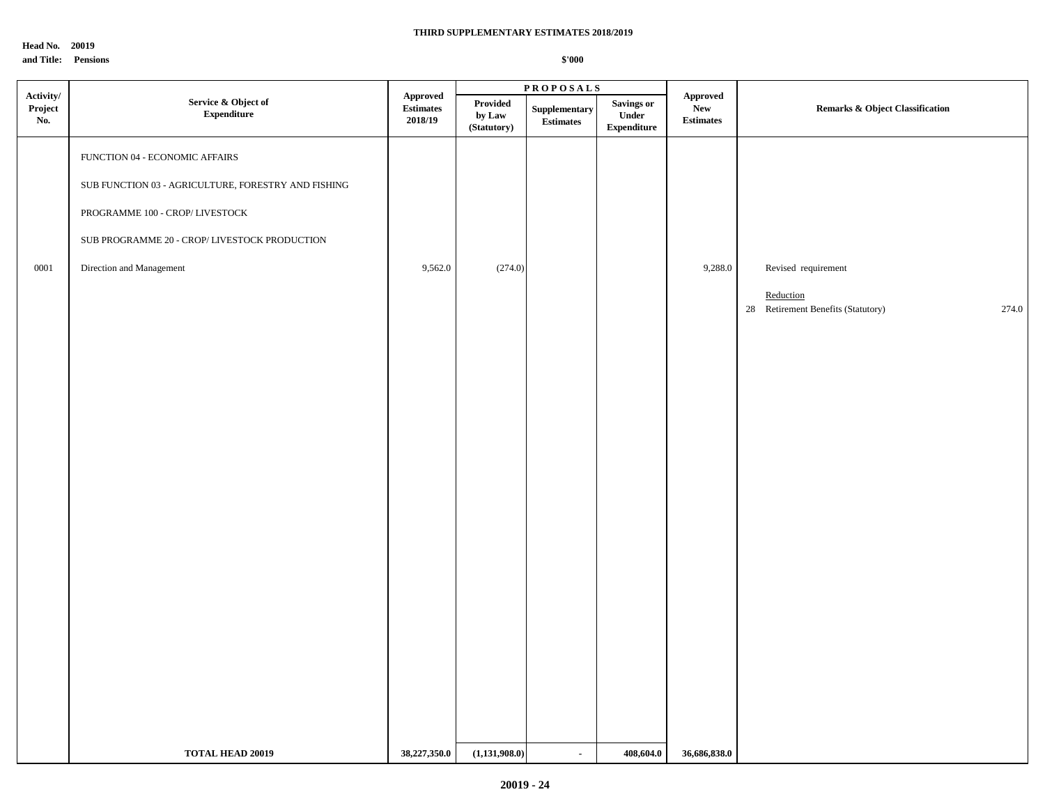**Head No. 20019 and Title: Pensions**

|                                    |                                                                                                                                                                                                      |                                         |                                           | <b>PROPOSALS</b>                  |                                                   |                                             |                                                                                 |  |
|------------------------------------|------------------------------------------------------------------------------------------------------------------------------------------------------------------------------------------------------|-----------------------------------------|-------------------------------------------|-----------------------------------|---------------------------------------------------|---------------------------------------------|---------------------------------------------------------------------------------|--|
| $\bf{Activity/}$<br>Project<br>No. | Service & Object of<br><b>Expenditure</b>                                                                                                                                                            | Approved<br><b>Estimates</b><br>2018/19 | Provided<br>by ${\bf Law}$<br>(Statutory) | Supplementary<br><b>Estimates</b> | <b>Savings or</b><br>Under<br>${\bf Expenditure}$ | Approved<br>${\bf New}$<br><b>Estimates</b> | <b>Remarks &amp; Object Classification</b>                                      |  |
| 0001                               | FUNCTION 04 - ECONOMIC AFFAIRS<br>SUB FUNCTION 03 - AGRICULTURE, FORESTRY AND FISHING<br>PROGRAMME 100 - CROP/LIVESTOCK<br>SUB PROGRAMME 20 - CROP/ LIVESTOCK PRODUCTION<br>Direction and Management | 9,562.0                                 | (274.0)                                   |                                   |                                                   | 9,288.0                                     | Revised requirement<br>Reduction<br>28 Retirement Benefits (Statutory)<br>274.0 |  |
|                                    | <b>TOTAL HEAD 20019</b>                                                                                                                                                                              | 38,227,350.0                            | (1,131,908.0)                             | $\blacksquare$                    | 408,604.0                                         | 36,686,838.0                                |                                                                                 |  |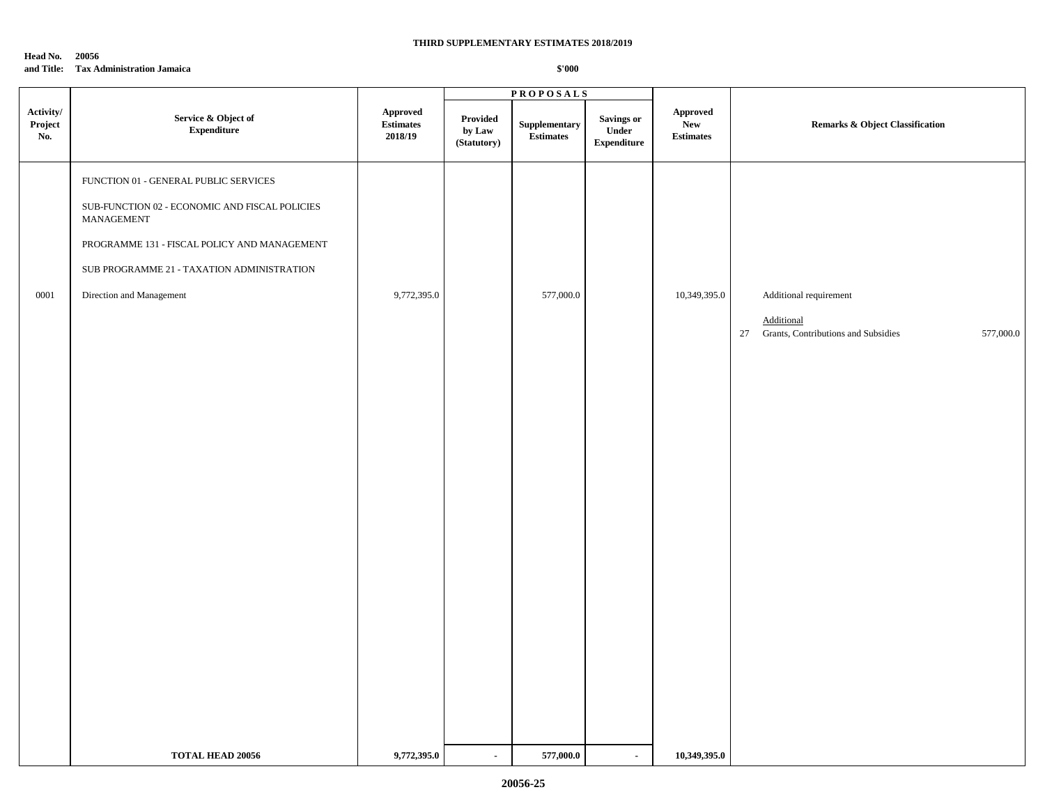**Head No. 20056**

## **and Title: Tax Administration Jamaica**

|                             |                                                              |                                         |                                   | <b>PROPOSALS</b>           |                                           |                                            |                                                                   |
|-----------------------------|--------------------------------------------------------------|-----------------------------------------|-----------------------------------|----------------------------|-------------------------------------------|--------------------------------------------|-------------------------------------------------------------------|
| Activity/<br>Project<br>No. | Service & Object of<br>${\bf Expenditure}$                   | Approved<br><b>Estimates</b><br>2018/19 | Provided<br>by Law<br>(Statutory) | Supplementary<br>Estimates | Savings or<br>Under<br><b>Expenditure</b> | Approved<br><b>New</b><br><b>Estimates</b> | Remarks & Object Classification                                   |
|                             | FUNCTION 01 - GENERAL PUBLIC SERVICES                        |                                         |                                   |                            |                                           |                                            |                                                                   |
|                             | SUB-FUNCTION 02 - ECONOMIC AND FISCAL POLICIES<br>MANAGEMENT |                                         |                                   |                            |                                           |                                            |                                                                   |
|                             | PROGRAMME 131 - FISCAL POLICY AND MANAGEMENT                 |                                         |                                   |                            |                                           |                                            |                                                                   |
|                             | SUB PROGRAMME 21 - TAXATION ADMINISTRATION                   |                                         |                                   |                            |                                           |                                            |                                                                   |
| 0001                        | Direction and Management                                     | 9,772,395.0                             |                                   | 577,000.0                  |                                           | 10,349,395.0                               | Additional requirement                                            |
|                             |                                                              |                                         |                                   |                            |                                           |                                            | Additional<br>27 Grants, Contributions and Subsidies<br>577,000.0 |
|                             |                                                              |                                         |                                   |                            |                                           |                                            |                                                                   |
|                             |                                                              |                                         |                                   |                            |                                           |                                            |                                                                   |
|                             |                                                              |                                         |                                   |                            |                                           |                                            |                                                                   |
|                             |                                                              |                                         |                                   |                            |                                           |                                            |                                                                   |
|                             |                                                              |                                         |                                   |                            |                                           |                                            |                                                                   |
|                             |                                                              |                                         |                                   |                            |                                           |                                            |                                                                   |
|                             |                                                              |                                         |                                   |                            |                                           |                                            |                                                                   |
|                             |                                                              |                                         |                                   |                            |                                           |                                            |                                                                   |
|                             |                                                              |                                         |                                   |                            |                                           |                                            |                                                                   |
|                             |                                                              |                                         |                                   |                            |                                           |                                            |                                                                   |
|                             |                                                              |                                         |                                   |                            |                                           |                                            |                                                                   |
|                             |                                                              |                                         |                                   |                            |                                           |                                            |                                                                   |
|                             |                                                              |                                         |                                   |                            |                                           |                                            |                                                                   |
|                             |                                                              |                                         |                                   |                            |                                           |                                            |                                                                   |
|                             |                                                              |                                         |                                   |                            |                                           |                                            |                                                                   |
|                             | <b>TOTAL HEAD 20056</b>                                      | 9,772,395.0                             | $\sim$                            | 577,000.0                  | $\blacksquare$                            | 10,349,395.0                               |                                                                   |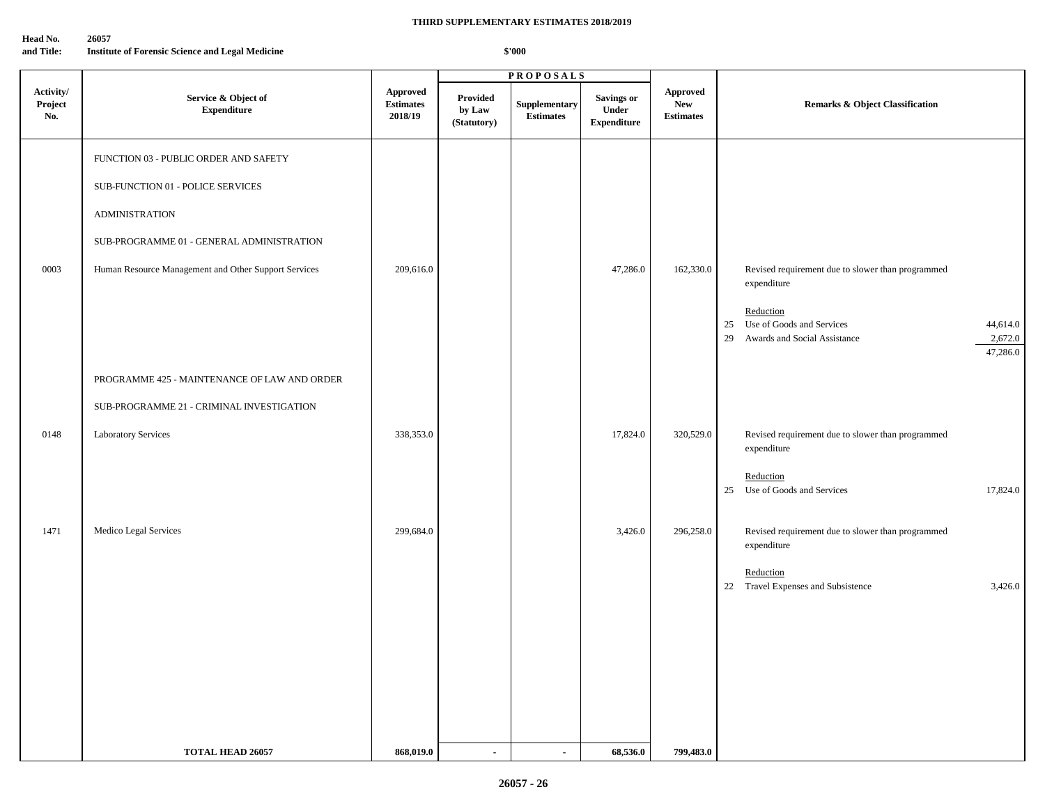### **Head No. 26057**

**and Title: Institute of Forensic Science and Legal Medicine**

|                             |                                                      |                                         |                                   | <b>PROPOSALS</b>                        |                                                  |                                            |                                                                                                                       |
|-----------------------------|------------------------------------------------------|-----------------------------------------|-----------------------------------|-----------------------------------------|--------------------------------------------------|--------------------------------------------|-----------------------------------------------------------------------------------------------------------------------|
| Activity/<br>Project<br>No. | Service & Object of<br><b>Expenditure</b>            | Approved<br><b>Estimates</b><br>2018/19 | Provided<br>by Law<br>(Statutory) | <b>Supplementary</b><br>$\bf Estimates$ | <b>Savings or</b><br>Under<br><b>Expenditure</b> | Approved<br><b>New</b><br><b>Estimates</b> | Remarks & Object Classification                                                                                       |
|                             | FUNCTION 03 - PUBLIC ORDER AND SAFETY                |                                         |                                   |                                         |                                                  |                                            |                                                                                                                       |
|                             | SUB-FUNCTION 01 - POLICE SERVICES                    |                                         |                                   |                                         |                                                  |                                            |                                                                                                                       |
|                             | <b>ADMINISTRATION</b>                                |                                         |                                   |                                         |                                                  |                                            |                                                                                                                       |
|                             | SUB-PROGRAMME 01 - GENERAL ADMINISTRATION            |                                         |                                   |                                         |                                                  |                                            |                                                                                                                       |
| 0003                        | Human Resource Management and Other Support Services | 209,616.0                               |                                   |                                         | 47,286.0                                         | 162,330.0                                  | Revised requirement due to slower than programmed<br>expenditure                                                      |
|                             |                                                      |                                         |                                   |                                         |                                                  |                                            | Reduction<br>Use of Goods and Services<br>25<br>44,614.0<br>2,672.0<br>Awards and Social Assistance<br>29<br>47,286.0 |
|                             | PROGRAMME 425 - MAINTENANCE OF LAW AND ORDER         |                                         |                                   |                                         |                                                  |                                            |                                                                                                                       |
|                             | SUB-PROGRAMME 21 - CRIMINAL INVESTIGATION            |                                         |                                   |                                         |                                                  |                                            |                                                                                                                       |
| 0148                        | Laboratory Services                                  | 338,353.0                               |                                   |                                         | 17,824.0                                         | 320,529.0                                  | Revised requirement due to slower than programmed<br>expenditure                                                      |
|                             |                                                      |                                         |                                   |                                         |                                                  |                                            | Reduction<br>25 Use of Goods and Services<br>17,824.0                                                                 |
| 1471                        | Medico Legal Services                                | 299,684.0                               |                                   |                                         | 3,426.0                                          | 296,258.0                                  | Revised requirement due to slower than programmed<br>expenditure                                                      |
|                             |                                                      |                                         |                                   |                                         |                                                  |                                            | Reduction<br>22 Travel Expenses and Subsistence<br>3,426.0                                                            |
|                             |                                                      |                                         |                                   |                                         |                                                  |                                            |                                                                                                                       |
|                             |                                                      |                                         |                                   |                                         |                                                  |                                            |                                                                                                                       |
|                             |                                                      |                                         |                                   |                                         |                                                  |                                            |                                                                                                                       |
|                             |                                                      |                                         |                                   |                                         |                                                  |                                            |                                                                                                                       |
|                             | <b>TOTAL HEAD 26057</b>                              | 868,019.0                               | $\blacksquare$                    | $\sim$                                  | 68,536.0                                         | 799,483.0                                  |                                                                                                                       |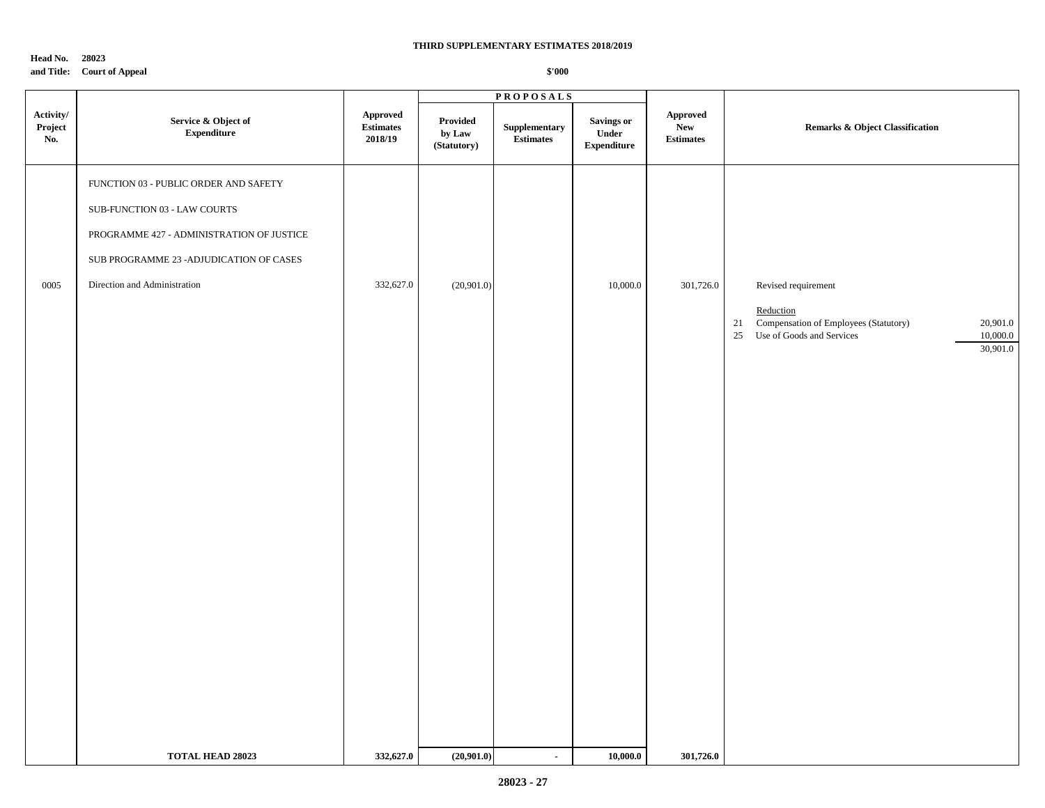**Head No. 28023 and Title: Court of Appeal**

|                             |                                                                                                                                                                                                |                                                     |                                   | <b>PROPOSALS</b>                  |                                                   |                                                   |                                                                                                                                                     |
|-----------------------------|------------------------------------------------------------------------------------------------------------------------------------------------------------------------------------------------|-----------------------------------------------------|-----------------------------------|-----------------------------------|---------------------------------------------------|---------------------------------------------------|-----------------------------------------------------------------------------------------------------------------------------------------------------|
| Activity/<br>Project<br>No. | Service & Object of<br>${\bf Expenditure}$                                                                                                                                                     | ${\Large\bf\large A}$<br>$\bf Estimates$<br>2018/19 | Provided<br>by Law<br>(Statutory) | Supplementary<br><b>Estimates</b> | <b>Savings or</b><br>Under<br>${\bf Expenditure}$ | ${\Large\bf Approved}$<br>New<br><b>Estimates</b> | Remarks & Object Classification                                                                                                                     |
| 0005                        | FUNCTION 03 - PUBLIC ORDER AND SAFETY<br>SUB-FUNCTION 03 - LAW COURTS<br>PROGRAMME 427 - ADMINISTRATION OF JUSTICE<br>SUB PROGRAMME 23 - ADJUDICATION OF CASES<br>Direction and Administration | 332,627.0                                           | (20,901.0)                        |                                   | 10,000.0                                          | 301,726.0                                         | Revised requirement<br>Reduction<br>21 Compensation of Employees (Statutory)<br>20,901.0<br>Use of Goods and Services<br>10,000.0<br>25<br>30,901.0 |
|                             | <b>TOTAL HEAD 28023</b>                                                                                                                                                                        | 332,627.0                                           | (20,901.0)                        | $\bullet$                         | 10,000.0                                          | 301,726.0                                         |                                                                                                                                                     |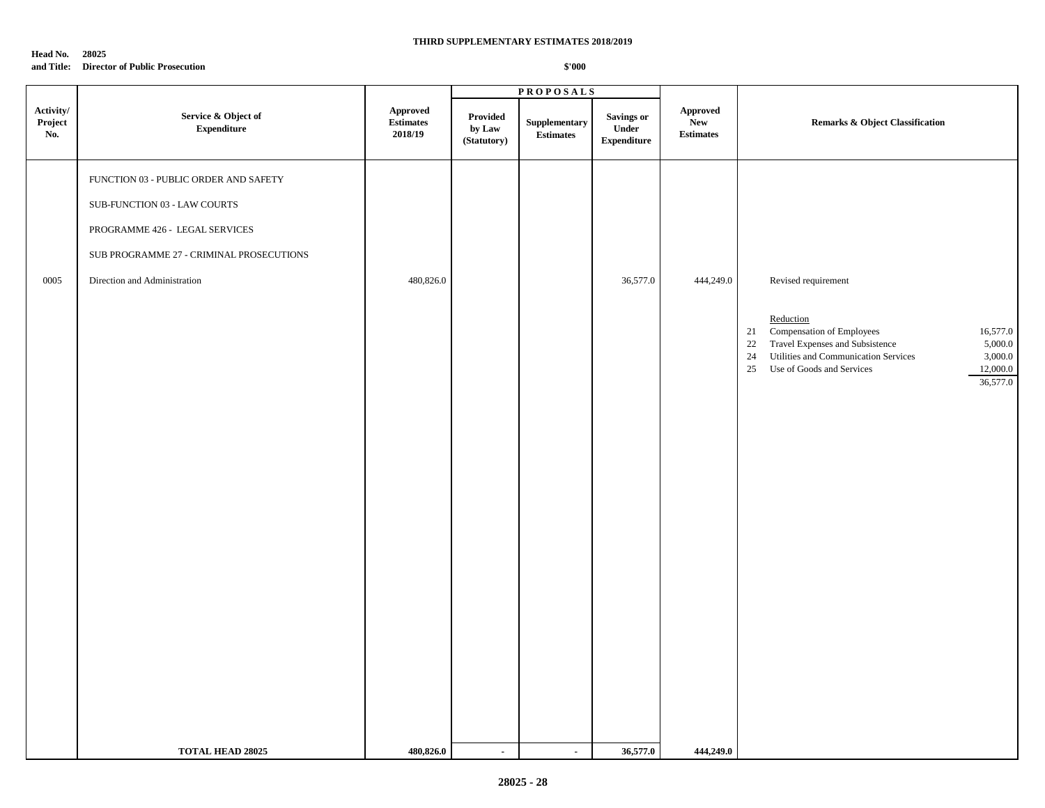## **Head No. 28025**

### **and Title: Director of Public Prosecution**

|                             |                                                                                                                                                                                     |                                                                                                            |                                   | <b>PROPOSALS</b>           |                                                  |                                     |                                                                                                                                                                                                                                                         |
|-----------------------------|-------------------------------------------------------------------------------------------------------------------------------------------------------------------------------------|------------------------------------------------------------------------------------------------------------|-----------------------------------|----------------------------|--------------------------------------------------|-------------------------------------|---------------------------------------------------------------------------------------------------------------------------------------------------------------------------------------------------------------------------------------------------------|
| Activity/<br>Project<br>No. | Service & Object of<br><b>Expenditure</b>                                                                                                                                           | Approved<br>$\begin{minipage}{.4\linewidth} Estimates \end{minipage} \vspace{-0.000\textwidth}$<br>2018/19 | Provided<br>by Law<br>(Statutory) | Supplementary<br>Estimates | <b>Savings or</b><br>Under<br><b>Expenditure</b> | Approved<br>New<br><b>Estimates</b> | Remarks & Object Classification                                                                                                                                                                                                                         |
| 0005                        | FUNCTION 03 - PUBLIC ORDER AND SAFETY<br>SUB-FUNCTION 03 - LAW COURTS<br>PROGRAMME 426 - LEGAL SERVICES<br>SUB PROGRAMME 27 - CRIMINAL PROSECUTIONS<br>Direction and Administration | 480,826.0                                                                                                  |                                   |                            | 36,577.0                                         | 444,249.0                           | Revised requirement<br>Reduction<br>Compensation of Employees<br>16,577.0<br>21<br>5,000.0<br>Travel Expenses and Subsistence<br>22<br>24<br>Utilities and Communication Services<br>3,000.0<br>25<br>Use of Goods and Services<br>12,000.0<br>36,577.0 |
|                             | <b>TOTAL HEAD 28025</b>                                                                                                                                                             | 480,826.0                                                                                                  | $\sim$                            | $\blacksquare$             | 36,577.0                                         | 444,249.0                           |                                                                                                                                                                                                                                                         |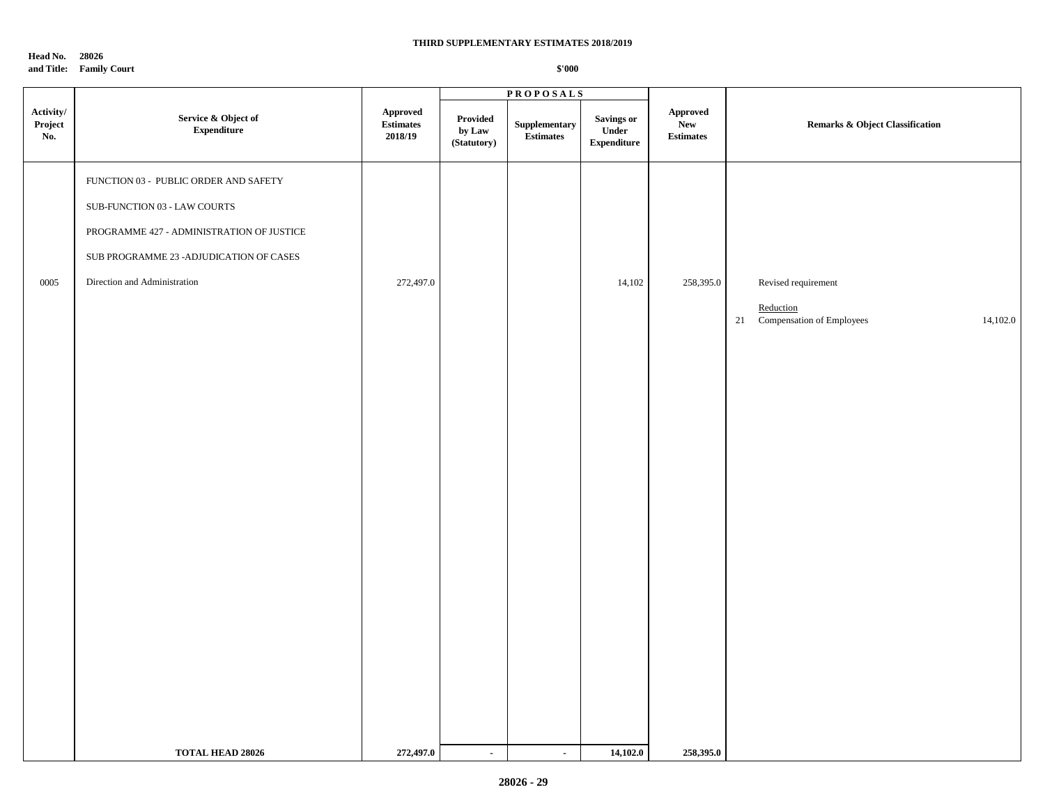**Head No. 28026**

**and Title: Family Court**

|                             |                                            |                                         |                                   | <b>PROPOSALS</b>                  |                                            |                                             |                                            |
|-----------------------------|--------------------------------------------|-----------------------------------------|-----------------------------------|-----------------------------------|--------------------------------------------|---------------------------------------------|--------------------------------------------|
| Activity/<br>Project<br>No. | Service & Object of<br>${\bf Expenditure}$ | Approved<br><b>Estimates</b><br>2018/19 | Provided<br>by Law<br>(Statutory) | Supplementary<br><b>Estimates</b> | Savings or<br>Under<br>${\bf Expenditure}$ | Approved<br>${\bf New}$<br><b>Estimates</b> | <b>Remarks &amp; Object Classification</b> |
|                             | FUNCTION 03 - PUBLIC ORDER AND SAFETY      |                                         |                                   |                                   |                                            |                                             |                                            |
|                             | SUB-FUNCTION 03 - LAW COURTS               |                                         |                                   |                                   |                                            |                                             |                                            |
|                             | PROGRAMME 427 - ADMINISTRATION OF JUSTICE  |                                         |                                   |                                   |                                            |                                             |                                            |
|                             | SUB PROGRAMME 23 - ADJUDICATION OF CASES   |                                         |                                   |                                   |                                            |                                             |                                            |
| 0005                        | Direction and Administration               | 272,497.0                               |                                   |                                   | 14,102                                     | 258,395.0                                   | Revised requirement                        |
|                             |                                            |                                         |                                   |                                   |                                            |                                             | Reduction                                  |
|                             |                                            |                                         |                                   |                                   |                                            |                                             | 21 Compensation of Employees<br>14,102.0   |
|                             |                                            |                                         |                                   |                                   |                                            |                                             |                                            |
|                             |                                            |                                         |                                   |                                   |                                            |                                             |                                            |
|                             |                                            |                                         |                                   |                                   |                                            |                                             |                                            |
|                             |                                            |                                         |                                   |                                   |                                            |                                             |                                            |
|                             |                                            |                                         |                                   |                                   |                                            |                                             |                                            |
|                             |                                            |                                         |                                   |                                   |                                            |                                             |                                            |
|                             |                                            |                                         |                                   |                                   |                                            |                                             |                                            |
|                             |                                            |                                         |                                   |                                   |                                            |                                             |                                            |
|                             |                                            |                                         |                                   |                                   |                                            |                                             |                                            |
|                             |                                            |                                         |                                   |                                   |                                            |                                             |                                            |
|                             |                                            |                                         |                                   |                                   |                                            |                                             |                                            |
|                             |                                            |                                         |                                   |                                   |                                            |                                             |                                            |
|                             |                                            |                                         |                                   |                                   |                                            |                                             |                                            |
|                             |                                            |                                         |                                   |                                   |                                            |                                             |                                            |
|                             |                                            |                                         |                                   |                                   |                                            |                                             |                                            |
|                             | TOTAL HEAD 28026                           | 272,497.0                               | $\sim$                            | $\sim$                            | 14,102.0                                   | 258,395.0                                   |                                            |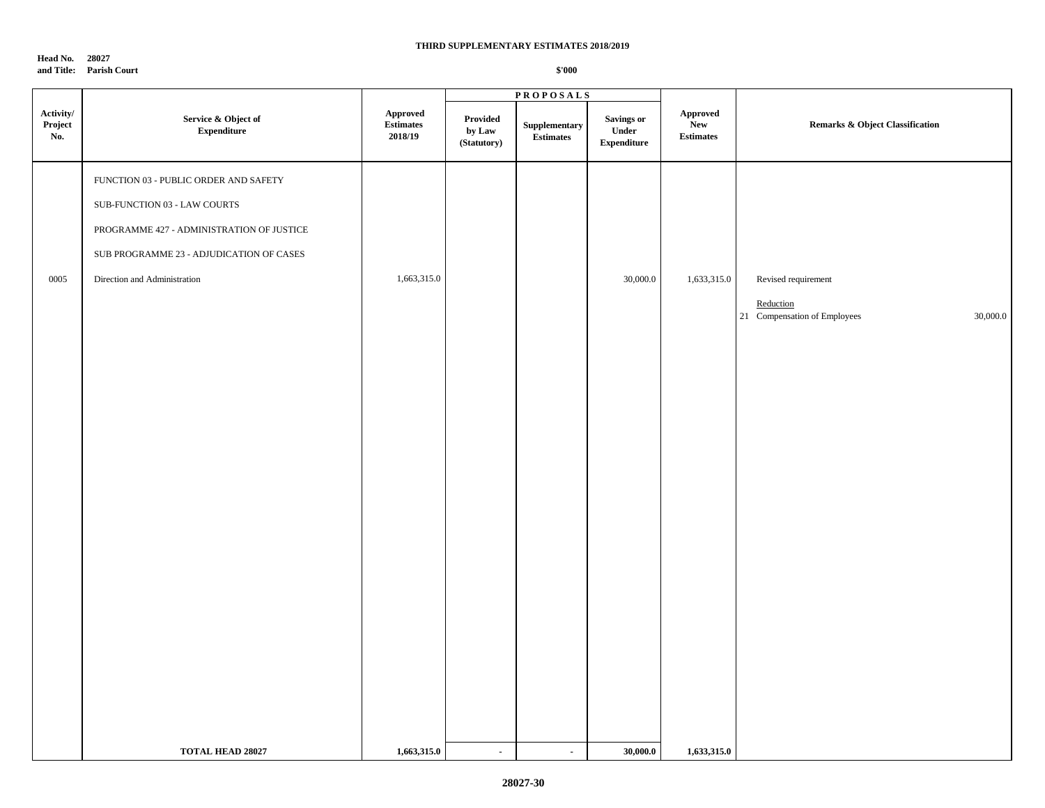**Head No. 28027 and Title: Parish Court**

|                             |                                            |                                         |                                   | <b>PROPOSALS</b>                  |                                           |                                            |                                                       |
|-----------------------------|--------------------------------------------|-----------------------------------------|-----------------------------------|-----------------------------------|-------------------------------------------|--------------------------------------------|-------------------------------------------------------|
| Activity/<br>Project<br>No. | Service & Object of<br>${\bf Expenditure}$ | Approved<br><b>Estimates</b><br>2018/19 | Provided<br>by Law<br>(Statutory) | Supplementary<br><b>Estimates</b> | Savings or<br>Under<br><b>Expenditure</b> | <b>Approved</b><br>New<br><b>Estimates</b> | <b>Remarks &amp; Object Classification</b>            |
|                             | FUNCTION 03 - PUBLIC ORDER AND SAFETY      |                                         |                                   |                                   |                                           |                                            |                                                       |
|                             | SUB-FUNCTION 03 - LAW COURTS               |                                         |                                   |                                   |                                           |                                            |                                                       |
|                             | PROGRAMME 427 - ADMINISTRATION OF JUSTICE  |                                         |                                   |                                   |                                           |                                            |                                                       |
|                             | SUB PROGRAMME 23 - ADJUDICATION OF CASES   |                                         |                                   |                                   |                                           |                                            |                                                       |
| $0005\,$                    | Direction and Administration               | 1,663,315.0                             |                                   |                                   | 30,000.0                                  | 1,633,315.0                                | Revised requirement                                   |
|                             |                                            |                                         |                                   |                                   |                                           |                                            | Reduction<br>21 Compensation of Employees<br>30,000.0 |
|                             |                                            |                                         |                                   |                                   |                                           |                                            |                                                       |
|                             |                                            |                                         |                                   |                                   |                                           |                                            |                                                       |
|                             |                                            |                                         |                                   |                                   |                                           |                                            |                                                       |
|                             |                                            |                                         |                                   |                                   |                                           |                                            |                                                       |
|                             |                                            |                                         |                                   |                                   |                                           |                                            |                                                       |
|                             |                                            |                                         |                                   |                                   |                                           |                                            |                                                       |
|                             |                                            |                                         |                                   |                                   |                                           |                                            |                                                       |
|                             |                                            |                                         |                                   |                                   |                                           |                                            |                                                       |
|                             |                                            |                                         |                                   |                                   |                                           |                                            |                                                       |
|                             |                                            |                                         |                                   |                                   |                                           |                                            |                                                       |
|                             |                                            |                                         |                                   |                                   |                                           |                                            |                                                       |
|                             |                                            |                                         |                                   |                                   |                                           |                                            |                                                       |
|                             |                                            |                                         |                                   |                                   |                                           |                                            |                                                       |
|                             |                                            |                                         |                                   |                                   |                                           |                                            |                                                       |
|                             |                                            |                                         |                                   |                                   |                                           |                                            |                                                       |
|                             |                                            |                                         |                                   |                                   |                                           |                                            |                                                       |
|                             |                                            |                                         |                                   |                                   |                                           |                                            |                                                       |
|                             | <b>TOTAL HEAD 28027</b>                    | 1,663,315.0                             | $\sim$                            | $\sim$                            | 30,000.0                                  | 1,633,315.0                                |                                                       |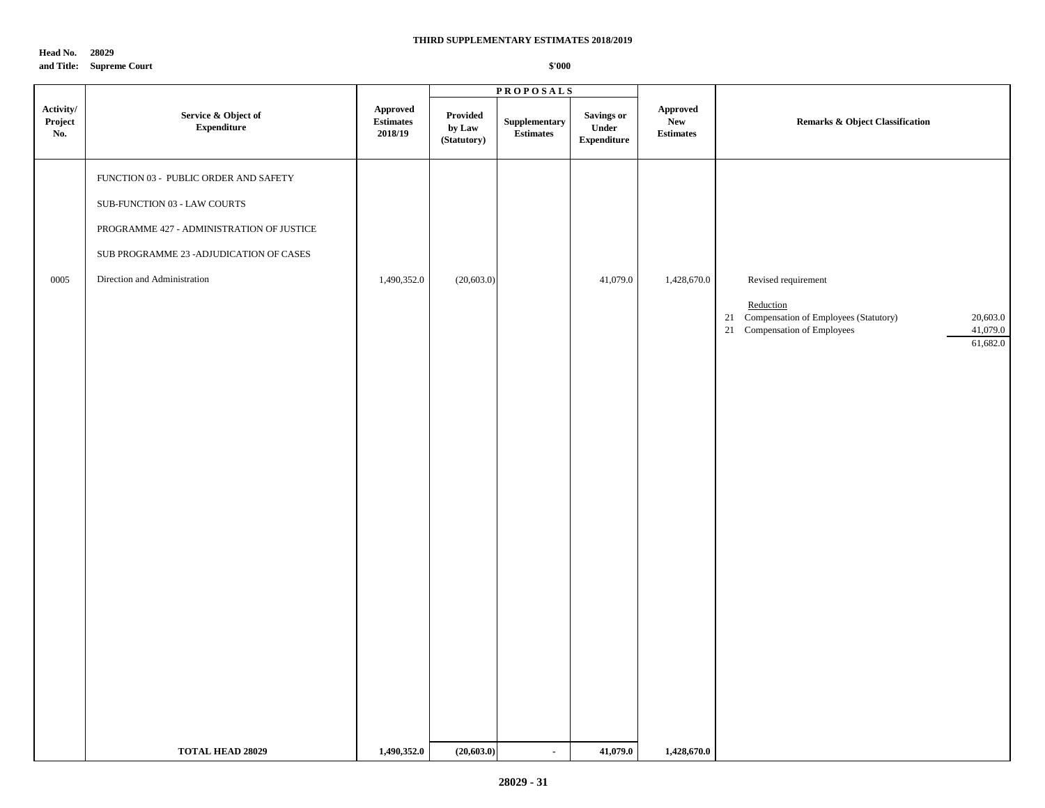**Head No. 28029**

**and Title: Supreme Court**

|                             |                                            |                                         |                                   | <b>PROPOSALS</b>                                 |                                                  |                                            |                                                                                                                              |
|-----------------------------|--------------------------------------------|-----------------------------------------|-----------------------------------|--------------------------------------------------|--------------------------------------------------|--------------------------------------------|------------------------------------------------------------------------------------------------------------------------------|
| Activity/<br>Project<br>No. | Service & Object of<br>${\bf Expenditure}$ | Approved<br><b>Estimates</b><br>2018/19 | Provided<br>by Law<br>(Statutory) | ${\Large \bf Supplementary}$<br><b>Estimates</b> | <b>Savings or</b><br>Under<br><b>Expenditure</b> | Approved<br><b>New</b><br><b>Estimates</b> | Remarks & Object Classification                                                                                              |
|                             | FUNCTION 03 - PUBLIC ORDER AND SAFETY      |                                         |                                   |                                                  |                                                  |                                            |                                                                                                                              |
|                             | SUB-FUNCTION 03 - LAW COURTS               |                                         |                                   |                                                  |                                                  |                                            |                                                                                                                              |
|                             | PROGRAMME 427 - ADMINISTRATION OF JUSTICE  |                                         |                                   |                                                  |                                                  |                                            |                                                                                                                              |
|                             | SUB PROGRAMME 23 - ADJUDICATION OF CASES   |                                         |                                   |                                                  |                                                  |                                            |                                                                                                                              |
| 0005                        | Direction and Administration               | 1,490,352.0                             | (20, 603.0)                       |                                                  | 41,079.0                                         | 1,428,670.0                                | Revised requirement                                                                                                          |
|                             |                                            |                                         |                                   |                                                  |                                                  |                                            | Reduction<br>Compensation of Employees (Statutory)<br>20,603.0<br>21<br>41,079.0<br>21 Compensation of Employees<br>61,682.0 |
|                             |                                            |                                         |                                   |                                                  |                                                  |                                            |                                                                                                                              |
|                             |                                            |                                         |                                   |                                                  |                                                  |                                            |                                                                                                                              |
|                             |                                            |                                         |                                   |                                                  |                                                  |                                            |                                                                                                                              |
|                             |                                            |                                         |                                   |                                                  |                                                  |                                            |                                                                                                                              |
|                             |                                            |                                         |                                   |                                                  |                                                  |                                            |                                                                                                                              |
|                             |                                            |                                         |                                   |                                                  |                                                  |                                            |                                                                                                                              |
|                             |                                            |                                         |                                   |                                                  |                                                  |                                            |                                                                                                                              |
|                             |                                            |                                         |                                   |                                                  |                                                  |                                            |                                                                                                                              |
|                             |                                            |                                         |                                   |                                                  |                                                  |                                            |                                                                                                                              |
|                             |                                            |                                         |                                   |                                                  |                                                  |                                            |                                                                                                                              |
|                             |                                            |                                         |                                   |                                                  |                                                  |                                            |                                                                                                                              |
|                             |                                            |                                         |                                   |                                                  |                                                  |                                            |                                                                                                                              |
|                             |                                            |                                         |                                   |                                                  |                                                  |                                            |                                                                                                                              |
|                             |                                            |                                         |                                   |                                                  |                                                  |                                            |                                                                                                                              |
|                             | <b>TOTAL HEAD 28029</b>                    | 1,490,352.0                             | (20, 603.0)                       | $\sim$                                           | 41,079.0                                         | 1,428,670.0                                |                                                                                                                              |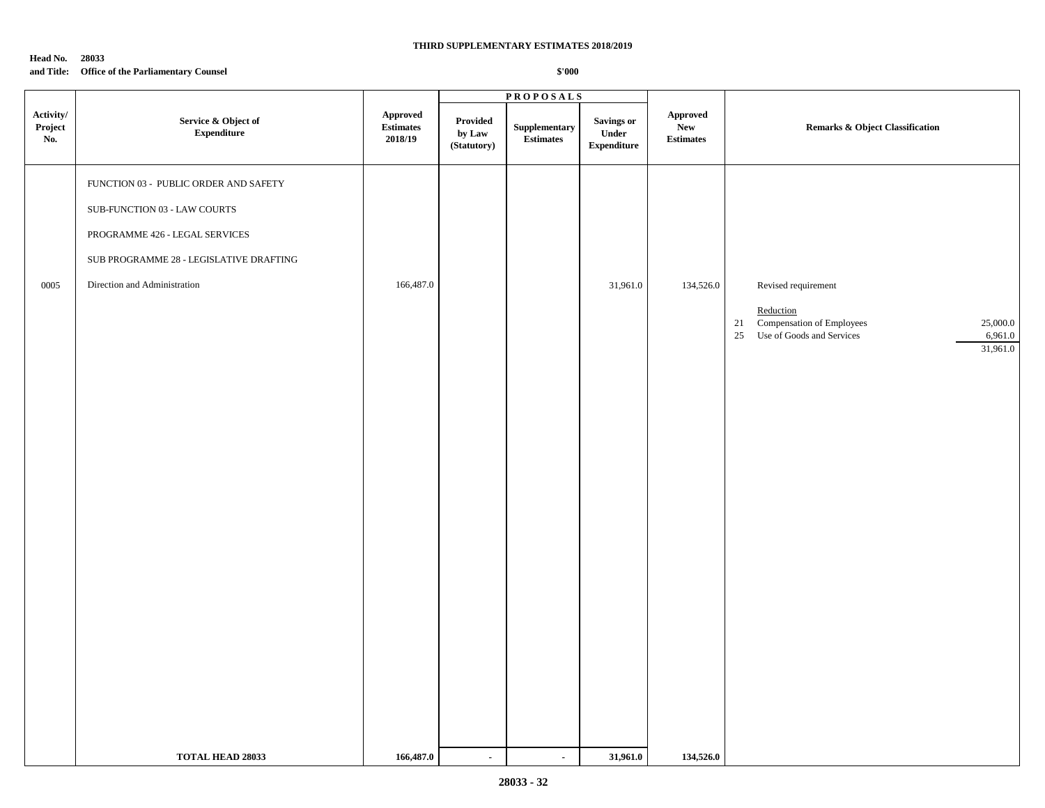### **Head No. 28033 and Title: Office of the Parliamentary Counsel**

|                             |                                            |                                  |                                   | <b>PROPOSALS</b>                  |                                            |                                     |                                                                                                                        |
|-----------------------------|--------------------------------------------|----------------------------------|-----------------------------------|-----------------------------------|--------------------------------------------|-------------------------------------|------------------------------------------------------------------------------------------------------------------------|
| Activity/<br>Project<br>No. | Service & Object of<br>${\bf Expenditure}$ | Approved<br>Estimates<br>2018/19 | Provided<br>by Law<br>(Statutory) | Supplementary<br><b>Estimates</b> | Savings or<br>Under<br>${\bf Expenditure}$ | Approved<br>New<br><b>Estimates</b> | <b>Remarks &amp; Object Classification</b>                                                                             |
|                             | FUNCTION 03 - PUBLIC ORDER AND SAFETY      |                                  |                                   |                                   |                                            |                                     |                                                                                                                        |
|                             | SUB-FUNCTION 03 - LAW COURTS               |                                  |                                   |                                   |                                            |                                     |                                                                                                                        |
|                             | PROGRAMME 426 - LEGAL SERVICES             |                                  |                                   |                                   |                                            |                                     |                                                                                                                        |
|                             | SUB PROGRAMME 28 - LEGISLATIVE DRAFTING    |                                  |                                   |                                   |                                            |                                     |                                                                                                                        |
| 0005                        | Direction and Administration               | 166,487.0                        |                                   |                                   | 31,961.0                                   | 134,526.0                           | Revised requirement                                                                                                    |
|                             |                                            |                                  |                                   |                                   |                                            |                                     | Reduction<br>Compensation of Employees<br>25,000.0<br>21<br>$25\,$<br>Use of Goods and Services<br>6,961.0<br>31,961.0 |
|                             |                                            |                                  |                                   |                                   |                                            |                                     |                                                                                                                        |
|                             |                                            |                                  |                                   |                                   |                                            |                                     |                                                                                                                        |
|                             |                                            |                                  |                                   |                                   |                                            |                                     |                                                                                                                        |
|                             |                                            |                                  |                                   |                                   |                                            |                                     |                                                                                                                        |
|                             |                                            |                                  |                                   |                                   |                                            |                                     |                                                                                                                        |
|                             |                                            |                                  |                                   |                                   |                                            |                                     |                                                                                                                        |
|                             |                                            |                                  |                                   |                                   |                                            |                                     |                                                                                                                        |
|                             |                                            |                                  |                                   |                                   |                                            |                                     |                                                                                                                        |
|                             | TOTAL HEAD 28033                           | 166,487.0                        | $\blacksquare$                    | $\blacksquare$                    | 31,961.0                                   | 134,526.0                           |                                                                                                                        |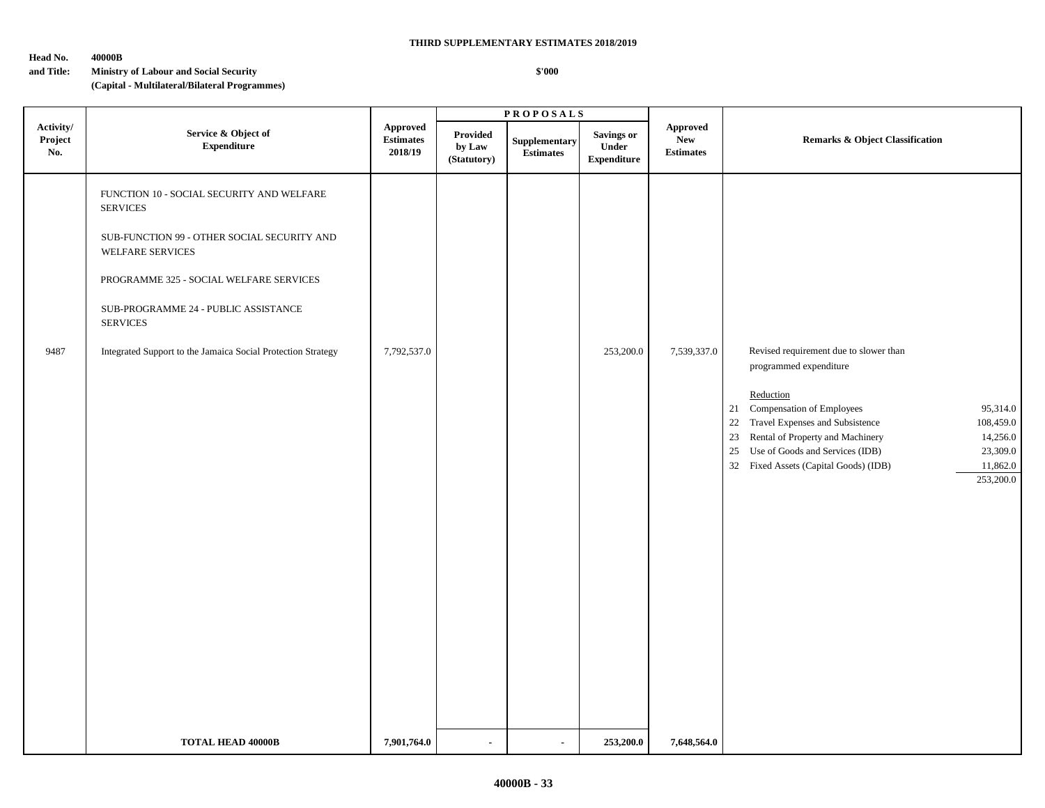### **Head No. 40000B**

### **\$'000**

**and Title: Ministry of Labour and Social Security (Capital - Multilateral/Bilateral Programmes)**

|                             |                                                                                                                                                                                                                                                                                                              |                                         |                                   | <b>PROPOSALS</b>                  |                                           |                                            |                                                                                                                                                                                                                                                                                                                                                        |
|-----------------------------|--------------------------------------------------------------------------------------------------------------------------------------------------------------------------------------------------------------------------------------------------------------------------------------------------------------|-----------------------------------------|-----------------------------------|-----------------------------------|-------------------------------------------|--------------------------------------------|--------------------------------------------------------------------------------------------------------------------------------------------------------------------------------------------------------------------------------------------------------------------------------------------------------------------------------------------------------|
| Activity/<br>Project<br>No. | Service & Object of<br><b>Expenditure</b>                                                                                                                                                                                                                                                                    | Approved<br><b>Estimates</b><br>2018/19 | Provided<br>by Law<br>(Statutory) | Supplementary<br><b>Estimates</b> | Savings or<br>Under<br><b>Expenditure</b> | Approved<br><b>New</b><br><b>Estimates</b> | <b>Remarks &amp; Object Classification</b>                                                                                                                                                                                                                                                                                                             |
| 9487                        | FUNCTION 10 - SOCIAL SECURITY AND WELFARE<br><b>SERVICES</b><br>SUB-FUNCTION 99 - OTHER SOCIAL SECURITY AND<br><b>WELFARE SERVICES</b><br>PROGRAMME 325 - SOCIAL WELFARE SERVICES<br>SUB-PROGRAMME 24 - PUBLIC ASSISTANCE<br><b>SERVICES</b><br>Integrated Support to the Jamaica Social Protection Strategy | 7,792,537.0                             |                                   |                                   | 253,200.0                                 | 7,539,337.0                                | Revised requirement due to slower than<br>programmed expenditure<br>Reduction<br>21 Compensation of Employees<br>95,314.0<br>22 Travel Expenses and Subsistence<br>108,459.0<br>Rental of Property and Machinery<br>14,256.0<br>23<br>25 Use of Goods and Services (IDB)<br>23,309.0<br>32 Fixed Assets (Capital Goods) (IDB)<br>11,862.0<br>253,200.0 |
|                             | <b>TOTAL HEAD 40000B</b>                                                                                                                                                                                                                                                                                     | 7,901,764.0                             | $\blacksquare$                    | $\blacksquare$                    | 253,200.0                                 | 7,648,564.0                                |                                                                                                                                                                                                                                                                                                                                                        |